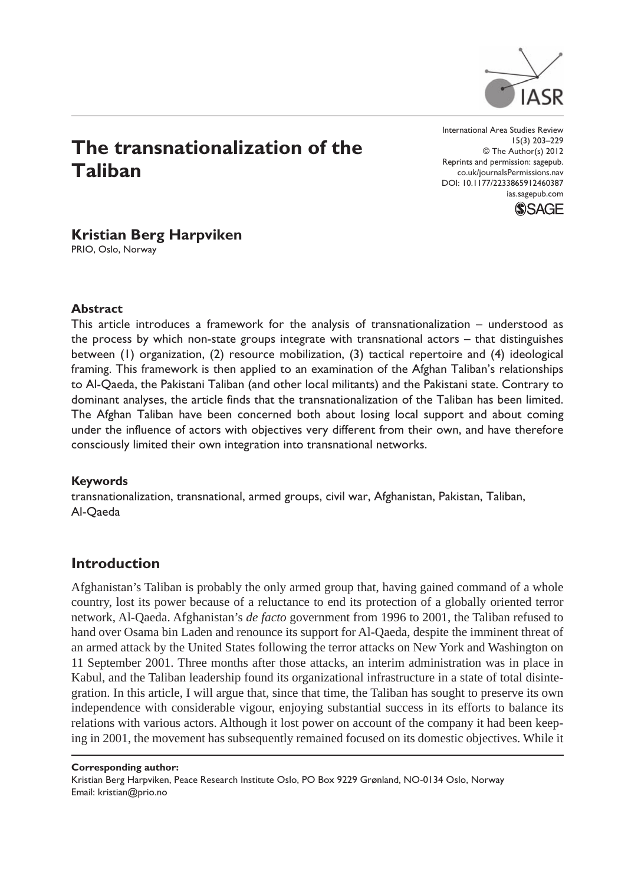

# **The transnationalization of the Taliban**

International Area Studies Review 15(3) 203–229 © The Author(s) 2012 Reprints and permission: sagepub. co.uk/journalsPermissions.nav DOI: 10.1177/2233865912460387 ias.sagepub.com



# **Kristian Berg Harpviken**

PRIO, Oslo, Norway

## **Abstract**

This article introduces a framework for the analysis of transnationalization – understood as the process by which non-state groups integrate with transnational actors – that distinguishes between (1) organization, (2) resource mobilization, (3) tactical repertoire and (4) ideological framing. This framework is then applied to an examination of the Afghan Taliban's relationships to Al-Qaeda, the Pakistani Taliban (and other local militants) and the Pakistani state. Contrary to dominant analyses, the article finds that the transnationalization of the Taliban has been limited. The Afghan Taliban have been concerned both about losing local support and about coming under the influence of actors with objectives very different from their own, and have therefore consciously limited their own integration into transnational networks.

# **Keywords**

transnationalization, transnational, armed groups, civil war, Afghanistan, Pakistan, Taliban, Al-Qaeda

# **Introduction**

Afghanistan's Taliban is probably the only armed group that, having gained command of a whole country, lost its power because of a reluctance to end its protection of a globally oriented terror network, Al-Qaeda. Afghanistan's *de facto* government from 1996 to 2001, the Taliban refused to hand over Osama bin Laden and renounce its support for Al-Qaeda, despite the imminent threat of an armed attack by the United States following the terror attacks on New York and Washington on 11 September 2001. Three months after those attacks, an interim administration was in place in Kabul, and the Taliban leadership found its organizational infrastructure in a state of total disintegration. In this article, I will argue that, since that time, the Taliban has sought to preserve its own independence with considerable vigour, enjoying substantial success in its efforts to balance its relations with various actors. Although it lost power on account of the company it had been keeping in 2001, the movement has subsequently remained focused on its domestic objectives. While it

**Corresponding author:**

Kristian Berg Harpviken, Peace Research Institute Oslo, PO Box 9229 Grønland, NO-0134 Oslo, Norway Email: kristian@prio.no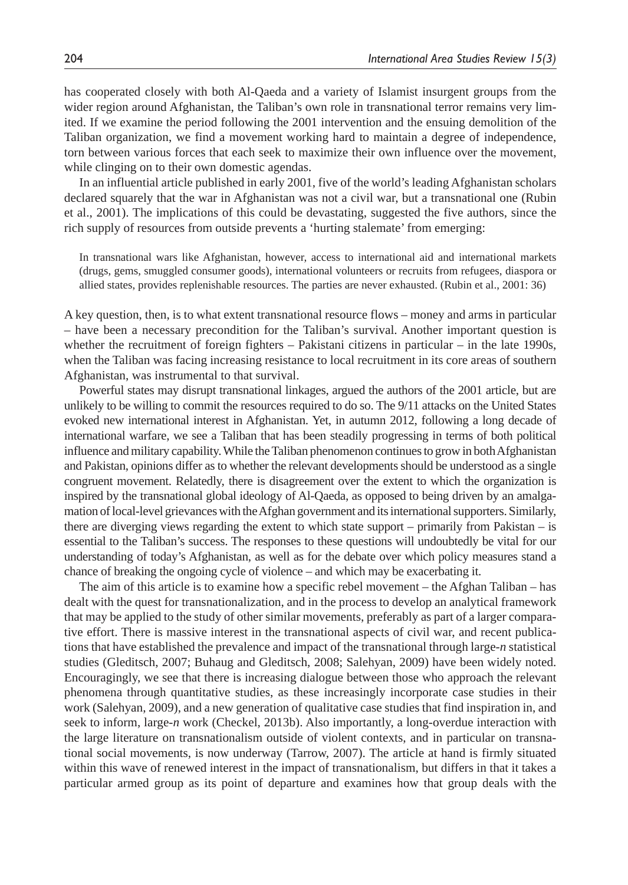has cooperated closely with both Al-Qaeda and a variety of Islamist insurgent groups from the wider region around Afghanistan, the Taliban's own role in transnational terror remains very limited. If we examine the period following the 2001 intervention and the ensuing demolition of the Taliban organization, we find a movement working hard to maintain a degree of independence, torn between various forces that each seek to maximize their own influence over the movement, while clinging on to their own domestic agendas.

In an influential article published in early 2001, five of the world's leading Afghanistan scholars declared squarely that the war in Afghanistan was not a civil war, but a transnational one (Rubin et al., 2001). The implications of this could be devastating, suggested the five authors, since the rich supply of resources from outside prevents a 'hurting stalemate' from emerging:

In transnational wars like Afghanistan, however, access to international aid and international markets (drugs, gems, smuggled consumer goods), international volunteers or recruits from refugees, diaspora or allied states, provides replenishable resources. The parties are never exhausted. (Rubin et al., 2001: 36)

A key question, then, is to what extent transnational resource flows – money and arms in particular – have been a necessary precondition for the Taliban's survival. Another important question is whether the recruitment of foreign fighters – Pakistani citizens in particular – in the late 1990s, when the Taliban was facing increasing resistance to local recruitment in its core areas of southern Afghanistan, was instrumental to that survival.

Powerful states may disrupt transnational linkages, argued the authors of the 2001 article, but are unlikely to be willing to commit the resources required to do so. The 9/11 attacks on the United States evoked new international interest in Afghanistan. Yet, in autumn 2012, following a long decade of international warfare, we see a Taliban that has been steadily progressing in terms of both political influence and military capability. While the Taliban phenomenon continues to grow in both Afghanistan and Pakistan, opinions differ as to whether the relevant developments should be understood as a single congruent movement. Relatedly, there is disagreement over the extent to which the organization is inspired by the transnational global ideology of Al-Qaeda, as opposed to being driven by an amalgamation of local-level grievances with the Afghan government and its international supporters. Similarly, there are diverging views regarding the extent to which state support – primarily from Pakistan – is essential to the Taliban's success. The responses to these questions will undoubtedly be vital for our understanding of today's Afghanistan, as well as for the debate over which policy measures stand a chance of breaking the ongoing cycle of violence – and which may be exacerbating it.

The aim of this article is to examine how a specific rebel movement – the Afghan Taliban – has dealt with the quest for transnationalization, and in the process to develop an analytical framework that may be applied to the study of other similar movements, preferably as part of a larger comparative effort. There is massive interest in the transnational aspects of civil war, and recent publications that have established the prevalence and impact of the transnational through large-*n* statistical studies (Gleditsch, 2007; Buhaug and Gleditsch, 2008; Salehyan, 2009) have been widely noted. Encouragingly, we see that there is increasing dialogue between those who approach the relevant phenomena through quantitative studies, as these increasingly incorporate case studies in their work (Salehyan, 2009), and a new generation of qualitative case studies that find inspiration in, and seek to inform, large-*n* work (Checkel, 2013b). Also importantly, a long-overdue interaction with the large literature on transnationalism outside of violent contexts, and in particular on transnational social movements, is now underway (Tarrow, 2007). The article at hand is firmly situated within this wave of renewed interest in the impact of transnationalism, but differs in that it takes a particular armed group as its point of departure and examines how that group deals with the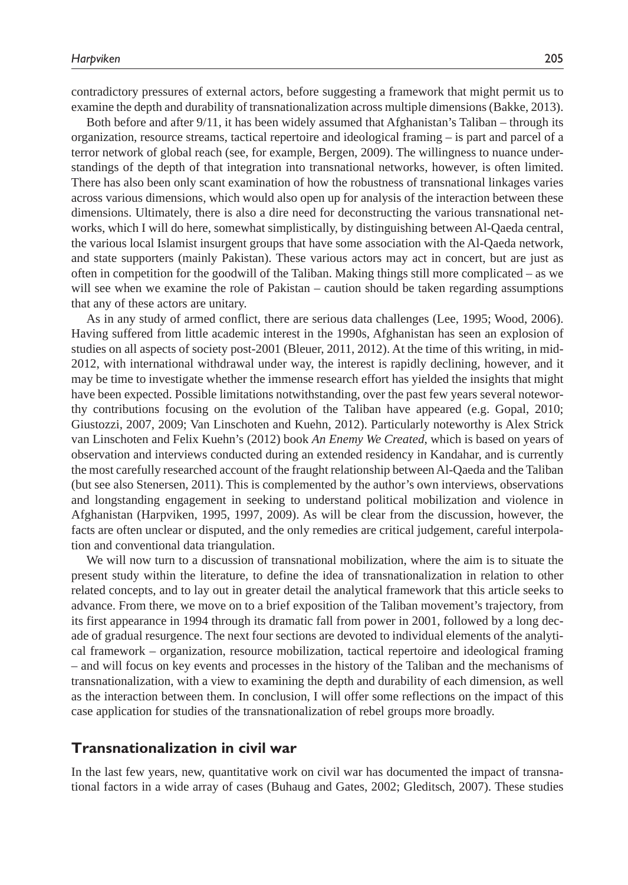contradictory pressures of external actors, before suggesting a framework that might permit us to examine the depth and durability of transnationalization across multiple dimensions (Bakke, 2013).

Both before and after 9/11, it has been widely assumed that Afghanistan's Taliban – through its organization, resource streams, tactical repertoire and ideological framing – is part and parcel of a terror network of global reach (see, for example, Bergen, 2009). The willingness to nuance understandings of the depth of that integration into transnational networks, however, is often limited. There has also been only scant examination of how the robustness of transnational linkages varies across various dimensions, which would also open up for analysis of the interaction between these dimensions. Ultimately, there is also a dire need for deconstructing the various transnational networks, which I will do here, somewhat simplistically, by distinguishing between Al-Qaeda central, the various local Islamist insurgent groups that have some association with the Al-Qaeda network, and state supporters (mainly Pakistan). These various actors may act in concert, but are just as often in competition for the goodwill of the Taliban. Making things still more complicated – as we will see when we examine the role of Pakistan – caution should be taken regarding assumptions that any of these actors are unitary.

As in any study of armed conflict, there are serious data challenges (Lee, 1995; Wood, 2006). Having suffered from little academic interest in the 1990s, Afghanistan has seen an explosion of studies on all aspects of society post-2001 (Bleuer, 2011, 2012). At the time of this writing, in mid-2012, with international withdrawal under way, the interest is rapidly declining, however, and it may be time to investigate whether the immense research effort has yielded the insights that might have been expected. Possible limitations notwithstanding, over the past few years several noteworthy contributions focusing on the evolution of the Taliban have appeared (e.g. Gopal, 2010; Giustozzi, 2007, 2009; Van Linschoten and Kuehn, 2012). Particularly noteworthy is Alex Strick van Linschoten and Felix Kuehn's (2012) book *An Enemy We Created*, which is based on years of observation and interviews conducted during an extended residency in Kandahar, and is currently the most carefully researched account of the fraught relationship between Al-Qaeda and the Taliban (but see also Stenersen, 2011). This is complemented by the author's own interviews, observations and longstanding engagement in seeking to understand political mobilization and violence in Afghanistan (Harpviken, 1995, 1997, 2009). As will be clear from the discussion, however, the facts are often unclear or disputed, and the only remedies are critical judgement, careful interpolation and conventional data triangulation.

We will now turn to a discussion of transnational mobilization, where the aim is to situate the present study within the literature, to define the idea of transnationalization in relation to other related concepts, and to lay out in greater detail the analytical framework that this article seeks to advance. From there, we move on to a brief exposition of the Taliban movement's trajectory, from its first appearance in 1994 through its dramatic fall from power in 2001, followed by a long decade of gradual resurgence. The next four sections are devoted to individual elements of the analytical framework – organization, resource mobilization, tactical repertoire and ideological framing – and will focus on key events and processes in the history of the Taliban and the mechanisms of transnationalization, with a view to examining the depth and durability of each dimension, as well as the interaction between them. In conclusion, I will offer some reflections on the impact of this case application for studies of the transnationalization of rebel groups more broadly.

### **Transnationalization in civil war**

In the last few years, new, quantitative work on civil war has documented the impact of transnational factors in a wide array of cases (Buhaug and Gates, 2002; Gleditsch, 2007). These studies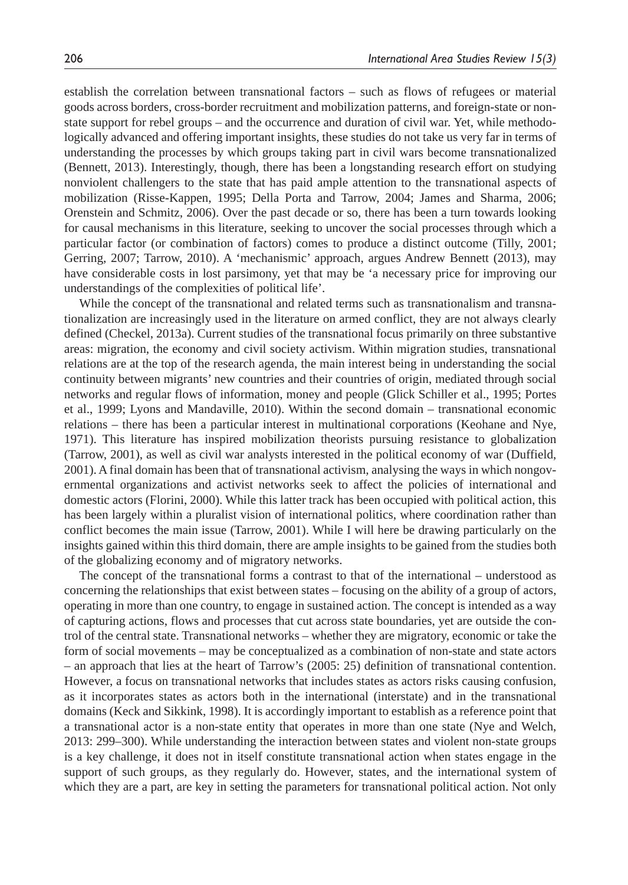establish the correlation between transnational factors – such as flows of refugees or material goods across borders, cross-border recruitment and mobilization patterns, and foreign-state or nonstate support for rebel groups – and the occurrence and duration of civil war. Yet, while methodologically advanced and offering important insights, these studies do not take us very far in terms of understanding the processes by which groups taking part in civil wars become transnationalized (Bennett, 2013). Interestingly, though, there has been a longstanding research effort on studying nonviolent challengers to the state that has paid ample attention to the transnational aspects of mobilization (Risse-Kappen, 1995; Della Porta and Tarrow, 2004; James and Sharma, 2006; Orenstein and Schmitz, 2006). Over the past decade or so, there has been a turn towards looking for causal mechanisms in this literature, seeking to uncover the social processes through which a particular factor (or combination of factors) comes to produce a distinct outcome (Tilly, 2001; Gerring, 2007; Tarrow, 2010). A 'mechanismic' approach, argues Andrew Bennett (2013), may have considerable costs in lost parsimony, yet that may be 'a necessary price for improving our understandings of the complexities of political life'.

While the concept of the transnational and related terms such as transnationalism and transnationalization are increasingly used in the literature on armed conflict, they are not always clearly defined (Checkel, 2013a). Current studies of the transnational focus primarily on three substantive areas: migration, the economy and civil society activism. Within migration studies, transnational relations are at the top of the research agenda, the main interest being in understanding the social continuity between migrants' new countries and their countries of origin, mediated through social networks and regular flows of information, money and people (Glick Schiller et al., 1995; Portes et al., 1999; Lyons and Mandaville, 2010). Within the second domain – transnational economic relations – there has been a particular interest in multinational corporations (Keohane and Nye, 1971). This literature has inspired mobilization theorists pursuing resistance to globalization (Tarrow, 2001), as well as civil war analysts interested in the political economy of war (Duffield, 2001). A final domain has been that of transnational activism, analysing the ways in which nongovernmental organizations and activist networks seek to affect the policies of international and domestic actors (Florini, 2000). While this latter track has been occupied with political action, this has been largely within a pluralist vision of international politics, where coordination rather than conflict becomes the main issue (Tarrow, 2001). While I will here be drawing particularly on the insights gained within this third domain, there are ample insights to be gained from the studies both of the globalizing economy and of migratory networks.

The concept of the transnational forms a contrast to that of the international – understood as concerning the relationships that exist between states – focusing on the ability of a group of actors, operating in more than one country, to engage in sustained action. The concept is intended as a way of capturing actions, flows and processes that cut across state boundaries, yet are outside the control of the central state. Transnational networks – whether they are migratory, economic or take the form of social movements – may be conceptualized as a combination of non-state and state actors – an approach that lies at the heart of Tarrow's (2005: 25) definition of transnational contention. However, a focus on transnational networks that includes states as actors risks causing confusion, as it incorporates states as actors both in the international (interstate) and in the transnational domains (Keck and Sikkink, 1998). It is accordingly important to establish as a reference point that a transnational actor is a non-state entity that operates in more than one state (Nye and Welch, 2013: 299–300). While understanding the interaction between states and violent non-state groups is a key challenge, it does not in itself constitute transnational action when states engage in the support of such groups, as they regularly do. However, states, and the international system of which they are a part, are key in setting the parameters for transnational political action. Not only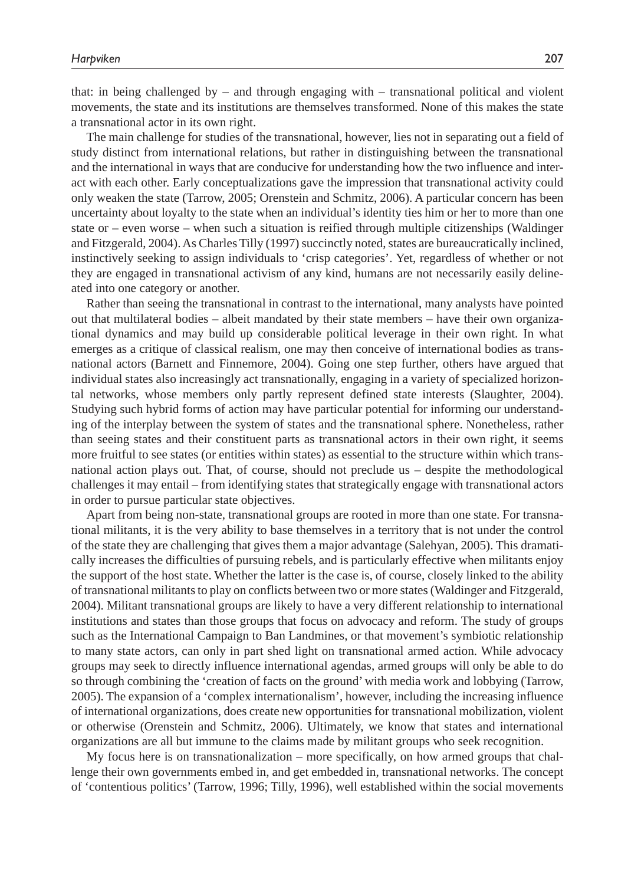that: in being challenged by – and through engaging with – transnational political and violent movements, the state and its institutions are themselves transformed. None of this makes the state a transnational actor in its own right.

The main challenge for studies of the transnational, however, lies not in separating out a field of study distinct from international relations, but rather in distinguishing between the transnational and the international in ways that are conducive for understanding how the two influence and interact with each other. Early conceptualizations gave the impression that transnational activity could only weaken the state (Tarrow, 2005; Orenstein and Schmitz, 2006). A particular concern has been uncertainty about loyalty to the state when an individual's identity ties him or her to more than one state or – even worse – when such a situation is reified through multiple citizenships (Waldinger and Fitzgerald, 2004). As Charles Tilly (1997) succinctly noted, states are bureaucratically inclined, instinctively seeking to assign individuals to 'crisp categories'. Yet, regardless of whether or not they are engaged in transnational activism of any kind, humans are not necessarily easily delineated into one category or another.

Rather than seeing the transnational in contrast to the international, many analysts have pointed out that multilateral bodies – albeit mandated by their state members – have their own organizational dynamics and may build up considerable political leverage in their own right. In what emerges as a critique of classical realism, one may then conceive of international bodies as transnational actors (Barnett and Finnemore, 2004). Going one step further, others have argued that individual states also increasingly act transnationally, engaging in a variety of specialized horizontal networks, whose members only partly represent defined state interests (Slaughter, 2004). Studying such hybrid forms of action may have particular potential for informing our understanding of the interplay between the system of states and the transnational sphere. Nonetheless, rather than seeing states and their constituent parts as transnational actors in their own right, it seems more fruitful to see states (or entities within states) as essential to the structure within which transnational action plays out. That, of course, should not preclude us – despite the methodological challenges it may entail – from identifying states that strategically engage with transnational actors in order to pursue particular state objectives.

Apart from being non-state, transnational groups are rooted in more than one state. For transnational militants, it is the very ability to base themselves in a territory that is not under the control of the state they are challenging that gives them a major advantage (Salehyan, 2005). This dramatically increases the difficulties of pursuing rebels, and is particularly effective when militants enjoy the support of the host state. Whether the latter is the case is, of course, closely linked to the ability of transnational militants to play on conflicts between two or more states (Waldinger and Fitzgerald, 2004). Militant transnational groups are likely to have a very different relationship to international institutions and states than those groups that focus on advocacy and reform. The study of groups such as the International Campaign to Ban Landmines, or that movement's symbiotic relationship to many state actors, can only in part shed light on transnational armed action. While advocacy groups may seek to directly influence international agendas, armed groups will only be able to do so through combining the 'creation of facts on the ground' with media work and lobbying (Tarrow, 2005). The expansion of a 'complex internationalism', however, including the increasing influence of international organizations, does create new opportunities for transnational mobilization, violent or otherwise (Orenstein and Schmitz, 2006). Ultimately, we know that states and international organizations are all but immune to the claims made by militant groups who seek recognition.

My focus here is on transnationalization – more specifically, on how armed groups that challenge their own governments embed in, and get embedded in, transnational networks. The concept of 'contentious politics' (Tarrow, 1996; Tilly, 1996), well established within the social movements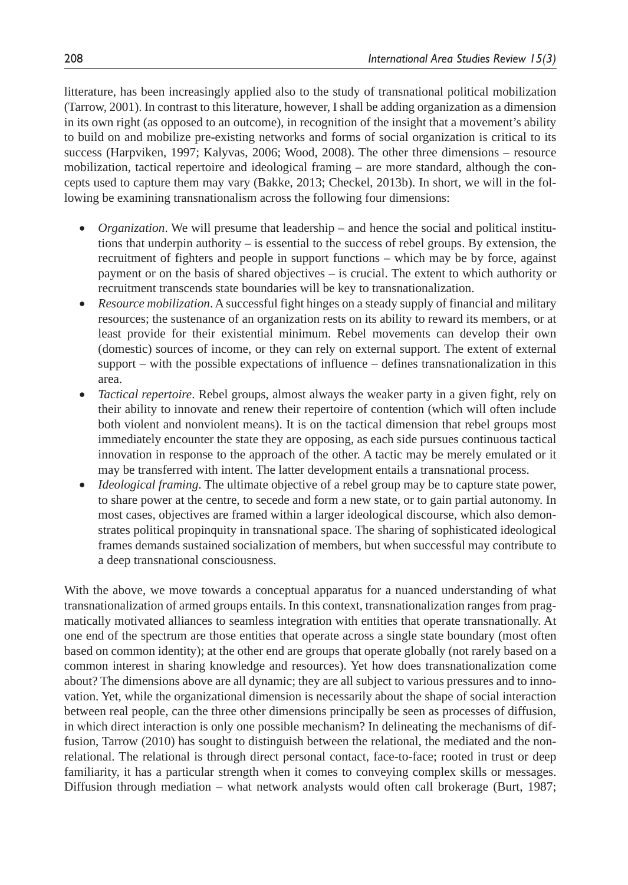litterature, has been increasingly applied also to the study of transnational political mobilization (Tarrow, 2001). In contrast to this literature, however, I shall be adding organization as a dimension in its own right (as opposed to an outcome), in recognition of the insight that a movement's ability to build on and mobilize pre-existing networks and forms of social organization is critical to its success (Harpviken, 1997; Kalyvas, 2006; Wood, 2008). The other three dimensions – resource mobilization, tactical repertoire and ideological framing – are more standard, although the concepts used to capture them may vary (Bakke, 2013; Checkel, 2013b). In short, we will in the following be examining transnationalism across the following four dimensions:

- *Organization*. We will presume that leadership and hence the social and political institutions that underpin authority – is essential to the success of rebel groups. By extension, the recruitment of fighters and people in support functions – which may be by force, against payment or on the basis of shared objectives – is crucial. The extent to which authority or recruitment transcends state boundaries will be key to transnationalization.
- *Resource mobilization*. A successful fight hinges on a steady supply of financial and military resources; the sustenance of an organization rests on its ability to reward its members, or at least provide for their existential minimum. Rebel movements can develop their own (domestic) sources of income, or they can rely on external support. The extent of external support – with the possible expectations of influence – defines transnationalization in this area.
- *Tactical repertoire*. Rebel groups, almost always the weaker party in a given fight, rely on their ability to innovate and renew their repertoire of contention (which will often include both violent and nonviolent means). It is on the tactical dimension that rebel groups most immediately encounter the state they are opposing, as each side pursues continuous tactical innovation in response to the approach of the other. A tactic may be merely emulated or it may be transferred with intent. The latter development entails a transnational process.
- *Ideological framing*. The ultimate objective of a rebel group may be to capture state power, to share power at the centre, to secede and form a new state, or to gain partial autonomy. In most cases, objectives are framed within a larger ideological discourse, which also demonstrates political propinquity in transnational space. The sharing of sophisticated ideological frames demands sustained socialization of members, but when successful may contribute to a deep transnational consciousness.

With the above, we move towards a conceptual apparatus for a nuanced understanding of what transnationalization of armed groups entails. In this context, transnationalization ranges from pragmatically motivated alliances to seamless integration with entities that operate transnationally. At one end of the spectrum are those entities that operate across a single state boundary (most often based on common identity); at the other end are groups that operate globally (not rarely based on a common interest in sharing knowledge and resources). Yet how does transnationalization come about? The dimensions above are all dynamic; they are all subject to various pressures and to innovation. Yet, while the organizational dimension is necessarily about the shape of social interaction between real people, can the three other dimensions principally be seen as processes of diffusion, in which direct interaction is only one possible mechanism? In delineating the mechanisms of diffusion, Tarrow (2010) has sought to distinguish between the relational, the mediated and the nonrelational. The relational is through direct personal contact, face-to-face; rooted in trust or deep familiarity, it has a particular strength when it comes to conveying complex skills or messages. Diffusion through mediation – what network analysts would often call brokerage (Burt, 1987;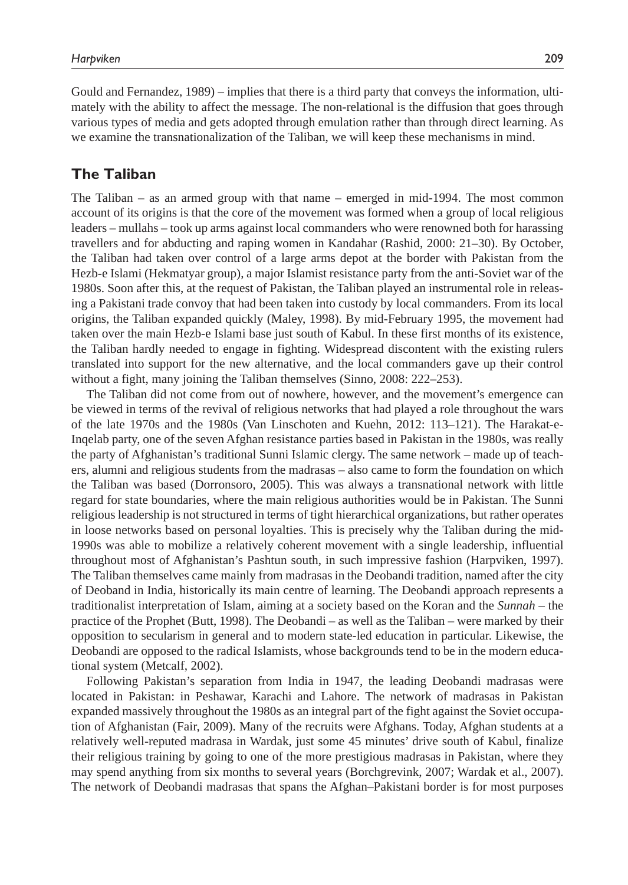Gould and Fernandez, 1989) – implies that there is a third party that conveys the information, ultimately with the ability to affect the message. The non-relational is the diffusion that goes through various types of media and gets adopted through emulation rather than through direct learning. As we examine the transnationalization of the Taliban, we will keep these mechanisms in mind.

# **The Taliban**

The Taliban – as an armed group with that name – emerged in mid-1994. The most common account of its origins is that the core of the movement was formed when a group of local religious leaders – mullahs – took up arms against local commanders who were renowned both for harassing travellers and for abducting and raping women in Kandahar (Rashid, 2000: 21–30). By October, the Taliban had taken over control of a large arms depot at the border with Pakistan from the Hezb-e Islami (Hekmatyar group), a major Islamist resistance party from the anti-Soviet war of the 1980s. Soon after this, at the request of Pakistan, the Taliban played an instrumental role in releasing a Pakistani trade convoy that had been taken into custody by local commanders. From its local origins, the Taliban expanded quickly (Maley, 1998). By mid-February 1995, the movement had taken over the main Hezb-e Islami base just south of Kabul. In these first months of its existence, the Taliban hardly needed to engage in fighting. Widespread discontent with the existing rulers translated into support for the new alternative, and the local commanders gave up their control without a fight, many joining the Taliban themselves (Sinno, 2008: 222–253).

The Taliban did not come from out of nowhere, however, and the movement's emergence can be viewed in terms of the revival of religious networks that had played a role throughout the wars of the late 1970s and the 1980s (Van Linschoten and Kuehn, 2012: 113–121). The Harakat-e-Inqelab party, one of the seven Afghan resistance parties based in Pakistan in the 1980s, was really the party of Afghanistan's traditional Sunni Islamic clergy. The same network – made up of teachers, alumni and religious students from the madrasas – also came to form the foundation on which the Taliban was based (Dorronsoro, 2005). This was always a transnational network with little regard for state boundaries, where the main religious authorities would be in Pakistan. The Sunni religious leadership is not structured in terms of tight hierarchical organizations, but rather operates in loose networks based on personal loyalties. This is precisely why the Taliban during the mid-1990s was able to mobilize a relatively coherent movement with a single leadership, influential throughout most of Afghanistan's Pashtun south, in such impressive fashion (Harpviken, 1997). The Taliban themselves came mainly from madrasas in the Deobandi tradition, named after the city of Deoband in India, historically its main centre of learning. The Deobandi approach represents a traditionalist interpretation of Islam, aiming at a society based on the Koran and the *Sunnah* – the practice of the Prophet (Butt, 1998). The Deobandi – as well as the Taliban – were marked by their opposition to secularism in general and to modern state-led education in particular. Likewise, the Deobandi are opposed to the radical Islamists, whose backgrounds tend to be in the modern educational system (Metcalf, 2002).

Following Pakistan's separation from India in 1947, the leading Deobandi madrasas were located in Pakistan: in Peshawar, Karachi and Lahore. The network of madrasas in Pakistan expanded massively throughout the 1980s as an integral part of the fight against the Soviet occupation of Afghanistan (Fair, 2009). Many of the recruits were Afghans. Today, Afghan students at a relatively well-reputed madrasa in Wardak, just some 45 minutes' drive south of Kabul, finalize their religious training by going to one of the more prestigious madrasas in Pakistan, where they may spend anything from six months to several years (Borchgrevink, 2007; Wardak et al., 2007). The network of Deobandi madrasas that spans the Afghan–Pakistani border is for most purposes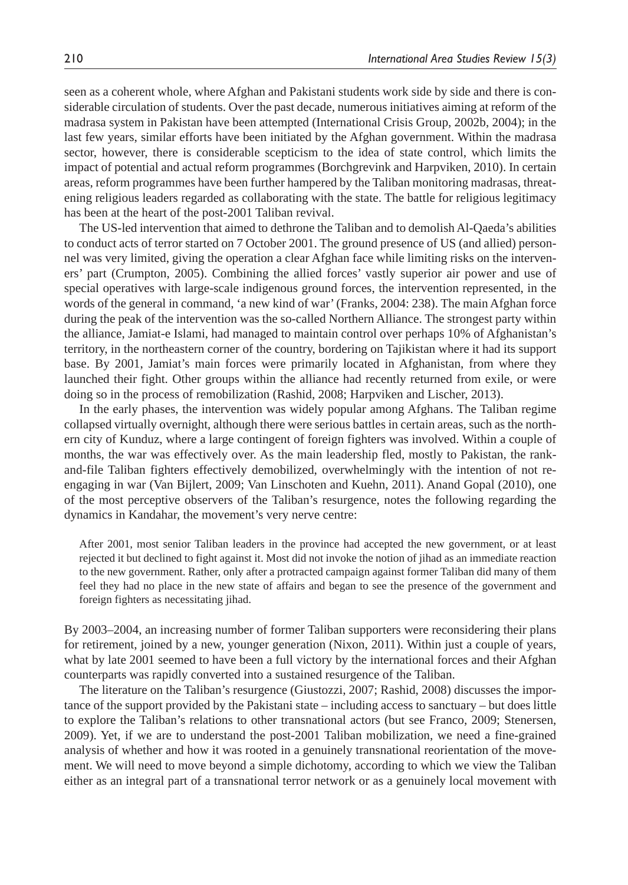seen as a coherent whole, where Afghan and Pakistani students work side by side and there is considerable circulation of students. Over the past decade, numerous initiatives aiming at reform of the madrasa system in Pakistan have been attempted (International Crisis Group, 2002b, 2004); in the last few years, similar efforts have been initiated by the Afghan government. Within the madrasa sector, however, there is considerable scepticism to the idea of state control, which limits the impact of potential and actual reform programmes (Borchgrevink and Harpviken, 2010). In certain areas, reform programmes have been further hampered by the Taliban monitoring madrasas, threatening religious leaders regarded as collaborating with the state. The battle for religious legitimacy has been at the heart of the post-2001 Taliban revival.

The US-led intervention that aimed to dethrone the Taliban and to demolish Al-Qaeda's abilities to conduct acts of terror started on 7 October 2001. The ground presence of US (and allied) personnel was very limited, giving the operation a clear Afghan face while limiting risks on the interveners' part (Crumpton, 2005). Combining the allied forces' vastly superior air power and use of special operatives with large-scale indigenous ground forces, the intervention represented, in the words of the general in command, 'a new kind of war' (Franks, 2004: 238). The main Afghan force during the peak of the intervention was the so-called Northern Alliance. The strongest party within the alliance, Jamiat-e Islami, had managed to maintain control over perhaps 10% of Afghanistan's territory, in the northeastern corner of the country, bordering on Tajikistan where it had its support base. By 2001, Jamiat's main forces were primarily located in Afghanistan, from where they launched their fight. Other groups within the alliance had recently returned from exile, or were doing so in the process of remobilization (Rashid, 2008; Harpviken and Lischer, 2013).

In the early phases, the intervention was widely popular among Afghans. The Taliban regime collapsed virtually overnight, although there were serious battles in certain areas, such as the northern city of Kunduz, where a large contingent of foreign fighters was involved. Within a couple of months, the war was effectively over. As the main leadership fled, mostly to Pakistan, the rankand-file Taliban fighters effectively demobilized, overwhelmingly with the intention of not reengaging in war (Van Bijlert, 2009; Van Linschoten and Kuehn, 2011). Anand Gopal (2010), one of the most perceptive observers of the Taliban's resurgence, notes the following regarding the dynamics in Kandahar, the movement's very nerve centre:

After 2001, most senior Taliban leaders in the province had accepted the new government, or at least rejected it but declined to fight against it. Most did not invoke the notion of jihad as an immediate reaction to the new government. Rather, only after a protracted campaign against former Taliban did many of them feel they had no place in the new state of affairs and began to see the presence of the government and foreign fighters as necessitating jihad.

By 2003–2004, an increasing number of former Taliban supporters were reconsidering their plans for retirement, joined by a new, younger generation (Nixon, 2011). Within just a couple of years, what by late 2001 seemed to have been a full victory by the international forces and their Afghan counterparts was rapidly converted into a sustained resurgence of the Taliban.

The literature on the Taliban's resurgence (Giustozzi, 2007; Rashid, 2008) discusses the importance of the support provided by the Pakistani state – including access to sanctuary – but does little to explore the Taliban's relations to other transnational actors (but see Franco, 2009; Stenersen, 2009). Yet, if we are to understand the post-2001 Taliban mobilization, we need a fine-grained analysis of whether and how it was rooted in a genuinely transnational reorientation of the movement. We will need to move beyond a simple dichotomy, according to which we view the Taliban either as an integral part of a transnational terror network or as a genuinely local movement with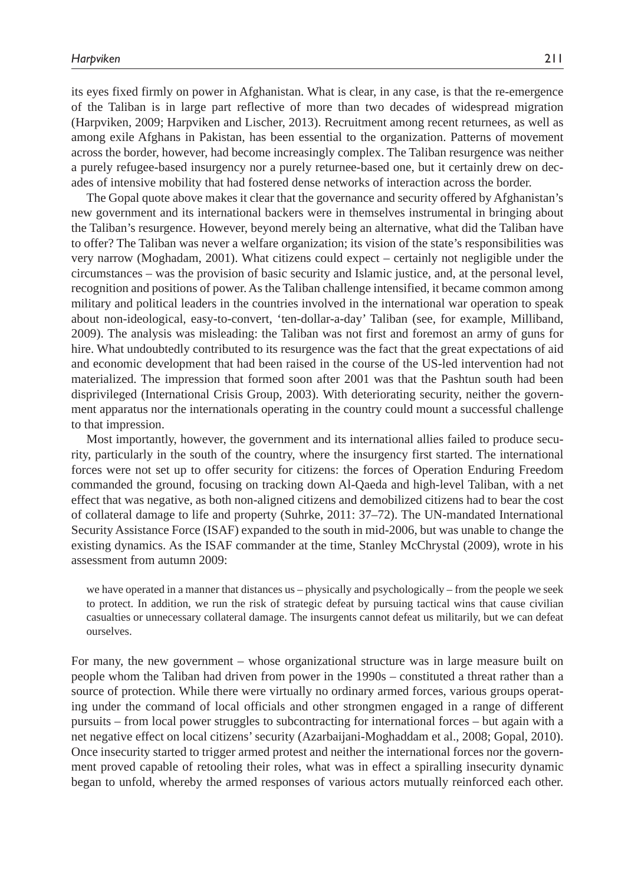its eyes fixed firmly on power in Afghanistan. What is clear, in any case, is that the re-emergence of the Taliban is in large part reflective of more than two decades of widespread migration (Harpviken, 2009; Harpviken and Lischer, 2013). Recruitment among recent returnees, as well as among exile Afghans in Pakistan, has been essential to the organization. Patterns of movement across the border, however, had become increasingly complex. The Taliban resurgence was neither a purely refugee-based insurgency nor a purely returnee-based one, but it certainly drew on decades of intensive mobility that had fostered dense networks of interaction across the border.

The Gopal quote above makes it clear that the governance and security offered by Afghanistan's new government and its international backers were in themselves instrumental in bringing about the Taliban's resurgence. However, beyond merely being an alternative, what did the Taliban have to offer? The Taliban was never a welfare organization; its vision of the state's responsibilities was very narrow (Moghadam, 2001). What citizens could expect – certainly not negligible under the circumstances – was the provision of basic security and Islamic justice, and, at the personal level, recognition and positions of power. As the Taliban challenge intensified, it became common among military and political leaders in the countries involved in the international war operation to speak about non-ideological, easy-to-convert, 'ten-dollar-a-day' Taliban (see, for example, Milliband, 2009). The analysis was misleading: the Taliban was not first and foremost an army of guns for hire. What undoubtedly contributed to its resurgence was the fact that the great expectations of aid and economic development that had been raised in the course of the US-led intervention had not materialized. The impression that formed soon after 2001 was that the Pashtun south had been disprivileged (International Crisis Group, 2003). With deteriorating security, neither the government apparatus nor the internationals operating in the country could mount a successful challenge to that impression.

Most importantly, however, the government and its international allies failed to produce security, particularly in the south of the country, where the insurgency first started. The international forces were not set up to offer security for citizens: the forces of Operation Enduring Freedom commanded the ground, focusing on tracking down Al-Qaeda and high-level Taliban, with a net effect that was negative, as both non-aligned citizens and demobilized citizens had to bear the cost of collateral damage to life and property (Suhrke, 2011: 37–72). The UN-mandated International Security Assistance Force (ISAF) expanded to the south in mid-2006, but was unable to change the existing dynamics. As the ISAF commander at the time, Stanley McChrystal (2009), wrote in his assessment from autumn 2009:

we have operated in a manner that distances us – physically and psychologically – from the people we seek to protect. In addition, we run the risk of strategic defeat by pursuing tactical wins that cause civilian casualties or unnecessary collateral damage. The insurgents cannot defeat us militarily, but we can defeat ourselves.

For many, the new government – whose organizational structure was in large measure built on people whom the Taliban had driven from power in the 1990s – constituted a threat rather than a source of protection. While there were virtually no ordinary armed forces, various groups operating under the command of local officials and other strongmen engaged in a range of different pursuits – from local power struggles to subcontracting for international forces – but again with a net negative effect on local citizens' security (Azarbaijani-Moghaddam et al., 2008; Gopal, 2010). Once insecurity started to trigger armed protest and neither the international forces nor the government proved capable of retooling their roles, what was in effect a spiralling insecurity dynamic began to unfold, whereby the armed responses of various actors mutually reinforced each other.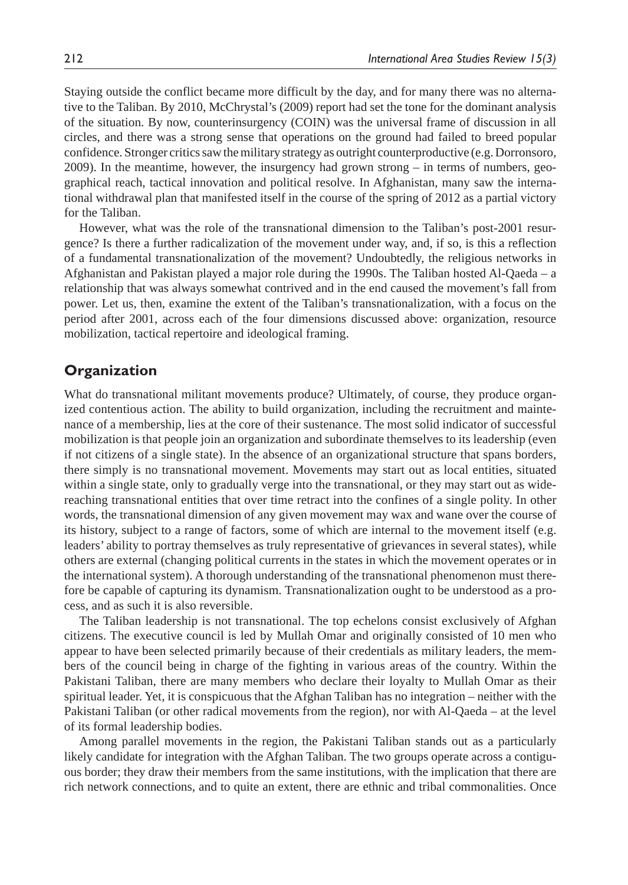Staying outside the conflict became more difficult by the day, and for many there was no alternative to the Taliban. By 2010, McChrystal's (2009) report had set the tone for the dominant analysis of the situation. By now, counterinsurgency (COIN) was the universal frame of discussion in all circles, and there was a strong sense that operations on the ground had failed to breed popular confidence. Stronger critics saw the military strategy as outright counterproductive (e.g. Dorronsoro, 2009). In the meantime, however, the insurgency had grown strong – in terms of numbers, geographical reach, tactical innovation and political resolve. In Afghanistan, many saw the international withdrawal plan that manifested itself in the course of the spring of 2012 as a partial victory for the Taliban.

However, what was the role of the transnational dimension to the Taliban's post-2001 resurgence? Is there a further radicalization of the movement under way, and, if so, is this a reflection of a fundamental transnationalization of the movement? Undoubtedly, the religious networks in Afghanistan and Pakistan played a major role during the 1990s. The Taliban hosted Al-Qaeda – a relationship that was always somewhat contrived and in the end caused the movement's fall from power. Let us, then, examine the extent of the Taliban's transnationalization, with a focus on the period after 2001, across each of the four dimensions discussed above: organization, resource mobilization, tactical repertoire and ideological framing.

# **Organization**

What do transnational militant movements produce? Ultimately, of course, they produce organized contentious action. The ability to build organization, including the recruitment and maintenance of a membership, lies at the core of their sustenance. The most solid indicator of successful mobilization is that people join an organization and subordinate themselves to its leadership (even if not citizens of a single state). In the absence of an organizational structure that spans borders, there simply is no transnational movement. Movements may start out as local entities, situated within a single state, only to gradually verge into the transnational, or they may start out as widereaching transnational entities that over time retract into the confines of a single polity. In other words, the transnational dimension of any given movement may wax and wane over the course of its history, subject to a range of factors, some of which are internal to the movement itself (e.g. leaders' ability to portray themselves as truly representative of grievances in several states), while others are external (changing political currents in the states in which the movement operates or in the international system). A thorough understanding of the transnational phenomenon must therefore be capable of capturing its dynamism. Transnationalization ought to be understood as a process, and as such it is also reversible.

The Taliban leadership is not transnational. The top echelons consist exclusively of Afghan citizens. The executive council is led by Mullah Omar and originally consisted of 10 men who appear to have been selected primarily because of their credentials as military leaders, the members of the council being in charge of the fighting in various areas of the country. Within the Pakistani Taliban, there are many members who declare their loyalty to Mullah Omar as their spiritual leader. Yet, it is conspicuous that the Afghan Taliban has no integration – neither with the Pakistani Taliban (or other radical movements from the region), nor with Al-Qaeda – at the level of its formal leadership bodies.

Among parallel movements in the region, the Pakistani Taliban stands out as a particularly likely candidate for integration with the Afghan Taliban. The two groups operate across a contiguous border; they draw their members from the same institutions, with the implication that there are rich network connections, and to quite an extent, there are ethnic and tribal commonalities. Once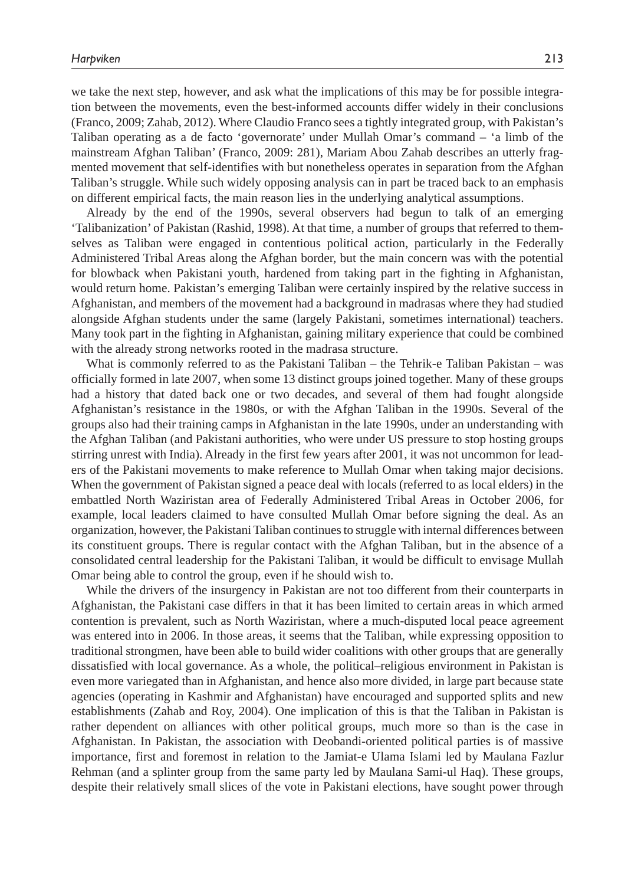we take the next step, however, and ask what the implications of this may be for possible integration between the movements, even the best-informed accounts differ widely in their conclusions (Franco, 2009; Zahab, 2012). Where Claudio Franco sees a tightly integrated group, with Pakistan's Taliban operating as a de facto 'governorate' under Mullah Omar's command – 'a limb of the mainstream Afghan Taliban' (Franco, 2009: 281), Mariam Abou Zahab describes an utterly fragmented movement that self-identifies with but nonetheless operates in separation from the Afghan Taliban's struggle. While such widely opposing analysis can in part be traced back to an emphasis on different empirical facts, the main reason lies in the underlying analytical assumptions.

Already by the end of the 1990s, several observers had begun to talk of an emerging 'Talibanization' of Pakistan (Rashid, 1998). At that time, a number of groups that referred to themselves as Taliban were engaged in contentious political action, particularly in the Federally Administered Tribal Areas along the Afghan border, but the main concern was with the potential for blowback when Pakistani youth, hardened from taking part in the fighting in Afghanistan, would return home. Pakistan's emerging Taliban were certainly inspired by the relative success in Afghanistan, and members of the movement had a background in madrasas where they had studied alongside Afghan students under the same (largely Pakistani, sometimes international) teachers. Many took part in the fighting in Afghanistan, gaining military experience that could be combined with the already strong networks rooted in the madrasa structure.

What is commonly referred to as the Pakistani Taliban – the Tehrik-e Taliban Pakistan – was officially formed in late 2007, when some 13 distinct groups joined together. Many of these groups had a history that dated back one or two decades, and several of them had fought alongside Afghanistan's resistance in the 1980s, or with the Afghan Taliban in the 1990s. Several of the groups also had their training camps in Afghanistan in the late 1990s, under an understanding with the Afghan Taliban (and Pakistani authorities, who were under US pressure to stop hosting groups stirring unrest with India). Already in the first few years after 2001, it was not uncommon for leaders of the Pakistani movements to make reference to Mullah Omar when taking major decisions. When the government of Pakistan signed a peace deal with locals (referred to as local elders) in the embattled North Waziristan area of Federally Administered Tribal Areas in October 2006, for example, local leaders claimed to have consulted Mullah Omar before signing the deal. As an organization, however, the Pakistani Taliban continues to struggle with internal differences between its constituent groups. There is regular contact with the Afghan Taliban, but in the absence of a consolidated central leadership for the Pakistani Taliban, it would be difficult to envisage Mullah Omar being able to control the group, even if he should wish to.

While the drivers of the insurgency in Pakistan are not too different from their counterparts in Afghanistan, the Pakistani case differs in that it has been limited to certain areas in which armed contention is prevalent, such as North Waziristan, where a much-disputed local peace agreement was entered into in 2006. In those areas, it seems that the Taliban, while expressing opposition to traditional strongmen, have been able to build wider coalitions with other groups that are generally dissatisfied with local governance. As a whole, the political–religious environment in Pakistan is even more variegated than in Afghanistan, and hence also more divided, in large part because state agencies (operating in Kashmir and Afghanistan) have encouraged and supported splits and new establishments (Zahab and Roy, 2004). One implication of this is that the Taliban in Pakistan is rather dependent on alliances with other political groups, much more so than is the case in Afghanistan. In Pakistan, the association with Deobandi-oriented political parties is of massive importance, first and foremost in relation to the Jamiat-e Ulama Islami led by Maulana Fazlur Rehman (and a splinter group from the same party led by Maulana Sami-ul Haq). These groups, despite their relatively small slices of the vote in Pakistani elections, have sought power through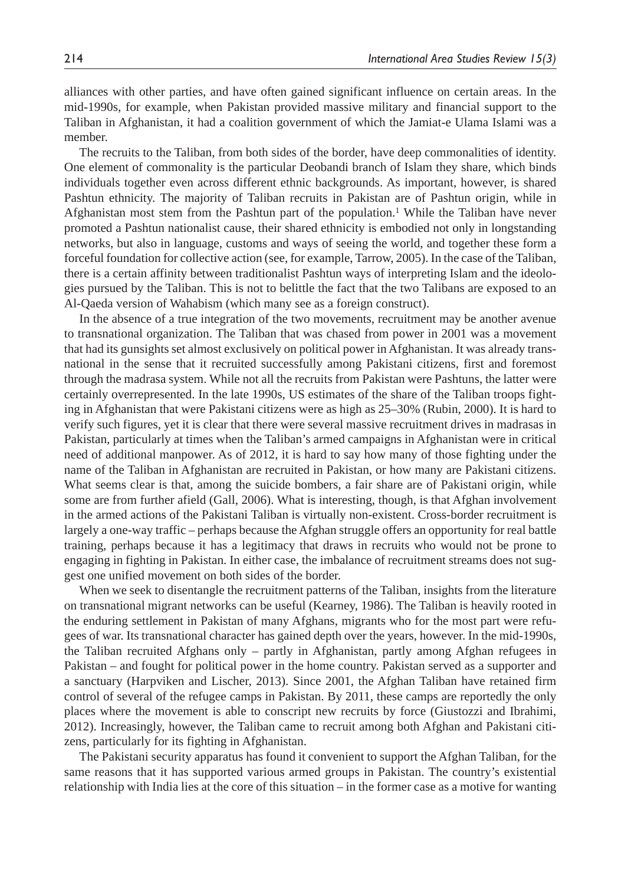alliances with other parties, and have often gained significant influence on certain areas. In the mid-1990s, for example, when Pakistan provided massive military and financial support to the Taliban in Afghanistan, it had a coalition government of which the Jamiat-e Ulama Islami was a member.

The recruits to the Taliban, from both sides of the border, have deep commonalities of identity. One element of commonality is the particular Deobandi branch of Islam they share, which binds individuals together even across different ethnic backgrounds. As important, however, is shared Pashtun ethnicity. The majority of Taliban recruits in Pakistan are of Pashtun origin, while in Afghanistan most stem from the Pashtun part of the population.<sup>1</sup> While the Taliban have never promoted a Pashtun nationalist cause, their shared ethnicity is embodied not only in longstanding networks, but also in language, customs and ways of seeing the world, and together these form a forceful foundation for collective action (see, for example, Tarrow, 2005). In the case of the Taliban, there is a certain affinity between traditionalist Pashtun ways of interpreting Islam and the ideologies pursued by the Taliban. This is not to belittle the fact that the two Talibans are exposed to an Al-Qaeda version of Wahabism (which many see as a foreign construct).

In the absence of a true integration of the two movements, recruitment may be another avenue to transnational organization. The Taliban that was chased from power in 2001 was a movement that had its gunsights set almost exclusively on political power in Afghanistan. It was already transnational in the sense that it recruited successfully among Pakistani citizens, first and foremost through the madrasa system. While not all the recruits from Pakistan were Pashtuns, the latter were certainly overrepresented. In the late 1990s, US estimates of the share of the Taliban troops fighting in Afghanistan that were Pakistani citizens were as high as 25–30% (Rubin, 2000). It is hard to verify such figures, yet it is clear that there were several massive recruitment drives in madrasas in Pakistan, particularly at times when the Taliban's armed campaigns in Afghanistan were in critical need of additional manpower. As of 2012, it is hard to say how many of those fighting under the name of the Taliban in Afghanistan are recruited in Pakistan, or how many are Pakistani citizens. What seems clear is that, among the suicide bombers, a fair share are of Pakistani origin, while some are from further afield (Gall, 2006). What is interesting, though, is that Afghan involvement in the armed actions of the Pakistani Taliban is virtually non-existent. Cross-border recruitment is largely a one-way traffic – perhaps because the Afghan struggle offers an opportunity for real battle training, perhaps because it has a legitimacy that draws in recruits who would not be prone to engaging in fighting in Pakistan. In either case, the imbalance of recruitment streams does not suggest one unified movement on both sides of the border.

When we seek to disentangle the recruitment patterns of the Taliban, insights from the literature on transnational migrant networks can be useful (Kearney, 1986). The Taliban is heavily rooted in the enduring settlement in Pakistan of many Afghans, migrants who for the most part were refugees of war. Its transnational character has gained depth over the years, however. In the mid-1990s, the Taliban recruited Afghans only – partly in Afghanistan, partly among Afghan refugees in Pakistan – and fought for political power in the home country. Pakistan served as a supporter and a sanctuary (Harpviken and Lischer, 2013). Since 2001, the Afghan Taliban have retained firm control of several of the refugee camps in Pakistan. By 2011, these camps are reportedly the only places where the movement is able to conscript new recruits by force (Giustozzi and Ibrahimi, 2012). Increasingly, however, the Taliban came to recruit among both Afghan and Pakistani citizens, particularly for its fighting in Afghanistan.

The Pakistani security apparatus has found it convenient to support the Afghan Taliban, for the same reasons that it has supported various armed groups in Pakistan. The country's existential relationship with India lies at the core of this situation – in the former case as a motive for wanting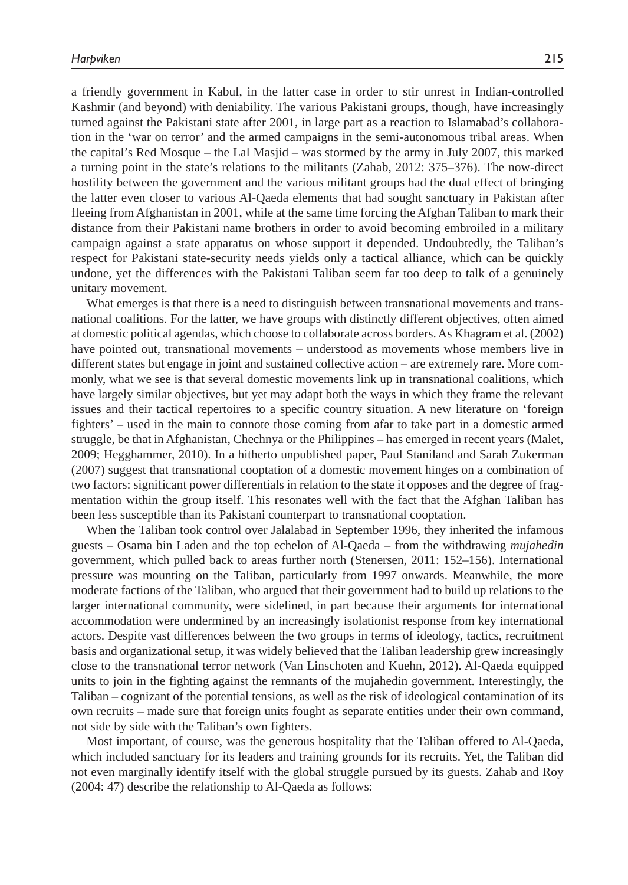a friendly government in Kabul, in the latter case in order to stir unrest in Indian-controlled Kashmir (and beyond) with deniability. The various Pakistani groups, though, have increasingly turned against the Pakistani state after 2001, in large part as a reaction to Islamabad's collaboration in the 'war on terror' and the armed campaigns in the semi-autonomous tribal areas. When the capital's Red Mosque – the Lal Masjid – was stormed by the army in July 2007, this marked a turning point in the state's relations to the militants (Zahab, 2012: 375–376). The now-direct hostility between the government and the various militant groups had the dual effect of bringing the latter even closer to various Al-Qaeda elements that had sought sanctuary in Pakistan after fleeing from Afghanistan in 2001, while at the same time forcing the Afghan Taliban to mark their distance from their Pakistani name brothers in order to avoid becoming embroiled in a military campaign against a state apparatus on whose support it depended. Undoubtedly, the Taliban's respect for Pakistani state-security needs yields only a tactical alliance, which can be quickly undone, yet the differences with the Pakistani Taliban seem far too deep to talk of a genuinely unitary movement.

What emerges is that there is a need to distinguish between transnational movements and transnational coalitions. For the latter, we have groups with distinctly different objectives, often aimed at domestic political agendas, which choose to collaborate across borders. As Khagram et al. (2002) have pointed out, transnational movements – understood as movements whose members live in different states but engage in joint and sustained collective action – are extremely rare. More commonly, what we see is that several domestic movements link up in transnational coalitions, which have largely similar objectives, but yet may adapt both the ways in which they frame the relevant issues and their tactical repertoires to a specific country situation. A new literature on 'foreign fighters' – used in the main to connote those coming from afar to take part in a domestic armed struggle, be that in Afghanistan, Chechnya or the Philippines – has emerged in recent years (Malet, 2009; Hegghammer, 2010). In a hitherto unpublished paper, Paul Staniland and Sarah Zukerman (2007) suggest that transnational cooptation of a domestic movement hinges on a combination of two factors: significant power differentials in relation to the state it opposes and the degree of fragmentation within the group itself. This resonates well with the fact that the Afghan Taliban has been less susceptible than its Pakistani counterpart to transnational cooptation.

When the Taliban took control over Jalalabad in September 1996, they inherited the infamous guests – Osama bin Laden and the top echelon of Al-Qaeda – from the withdrawing *mujahedin* government, which pulled back to areas further north (Stenersen, 2011: 152–156). International pressure was mounting on the Taliban, particularly from 1997 onwards. Meanwhile, the more moderate factions of the Taliban, who argued that their government had to build up relations to the larger international community, were sidelined, in part because their arguments for international accommodation were undermined by an increasingly isolationist response from key international actors. Despite vast differences between the two groups in terms of ideology, tactics, recruitment basis and organizational setup, it was widely believed that the Taliban leadership grew increasingly close to the transnational terror network (Van Linschoten and Kuehn, 2012). Al-Qaeda equipped units to join in the fighting against the remnants of the mujahedin government. Interestingly, the Taliban – cognizant of the potential tensions, as well as the risk of ideological contamination of its own recruits – made sure that foreign units fought as separate entities under their own command, not side by side with the Taliban's own fighters.

Most important, of course, was the generous hospitality that the Taliban offered to Al-Qaeda, which included sanctuary for its leaders and training grounds for its recruits. Yet, the Taliban did not even marginally identify itself with the global struggle pursued by its guests. Zahab and Roy (2004: 47) describe the relationship to Al-Qaeda as follows: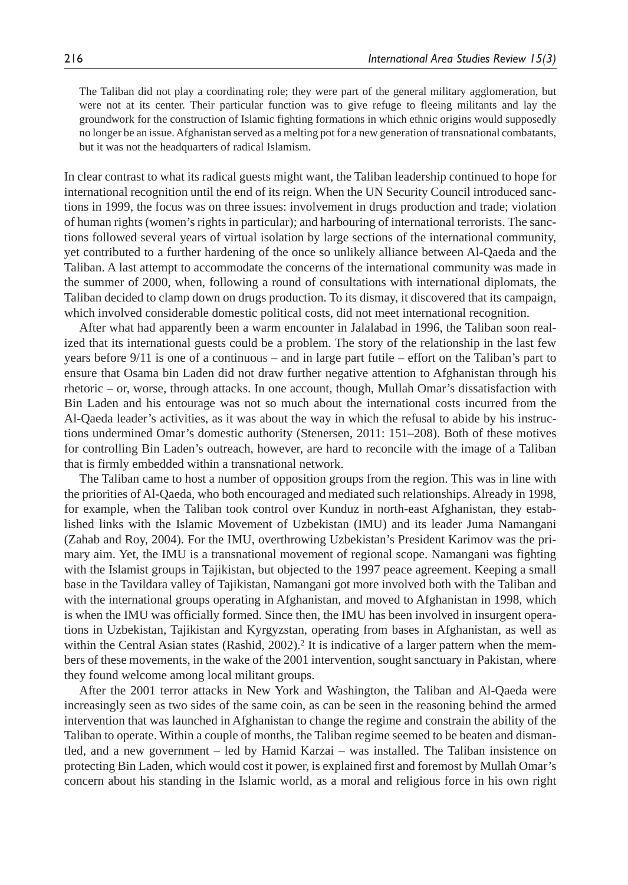The Taliban did not play a coordinating role; they were part of the general military agglomeration, but were not at its center. Their particular function was to give refuge to fleeing militants and lay the groundwork for the construction of Islamic fighting formations in which ethnic origins would supposedly no longer be an issue. Afghanistan served as a melting pot for a new generation of transnational combatants, but it was not the headquarters of radical Islamism.

In clear contrast to what its radical guests might want, the Taliban leadership continued to hope for international recognition until the end of its reign. When the UN Security Council introduced sanctions in 1999, the focus was on three issues: involvement in drugs production and trade; violation of human rights (women's rights in particular); and harbouring of international terrorists. The sanctions followed several years of virtual isolation by large sections of the international community, yet contributed to a further hardening of the once so unlikely alliance between Al-Qaeda and the Taliban. A last attempt to accommodate the concerns of the international community was made in the summer of 2000, when, following a round of consultations with international diplomats, the Taliban decided to clamp down on drugs production. To its dismay, it discovered that its campaign, which involved considerable domestic political costs, did not meet international recognition.

After what had apparently been a warm encounter in Jalalabad in 1996, the Taliban soon realized that its international guests could be a problem. The story of the relationship in the last few years before 9/11 is one of a continuous – and in large part futile – effort on the Taliban's part to ensure that Osama bin Laden did not draw further negative attention to Afghanistan through his rhetoric – or, worse, through attacks. In one account, though, Mullah Omar's dissatisfaction with Bin Laden and his entourage was not so much about the international costs incurred from the Al-Qaeda leader's activities, as it was about the way in which the refusal to abide by his instructions undermined Omar's domestic authority (Stenersen, 2011: 151–208). Both of these motives for controlling Bin Laden's outreach, however, are hard to reconcile with the image of a Taliban that is firmly embedded within a transnational network.

The Taliban came to host a number of opposition groups from the region. This was in line with the priorities of Al-Qaeda, who both encouraged and mediated such relationships. Already in 1998, for example, when the Taliban took control over Kunduz in north-east Afghanistan, they established links with the Islamic Movement of Uzbekistan (IMU) and its leader Juma Namangani (Zahab and Roy, 2004). For the IMU, overthrowing Uzbekistan's President Karimov was the primary aim. Yet, the IMU is a transnational movement of regional scope. Namangani was fighting with the Islamist groups in Tajikistan, but objected to the 1997 peace agreement. Keeping a small base in the Tavildara valley of Tajikistan, Namangani got more involved both with the Taliban and with the international groups operating in Afghanistan, and moved to Afghanistan in 1998, which is when the IMU was officially formed. Since then, the IMU has been involved in insurgent operations in Uzbekistan, Tajikistan and Kyrgyzstan, operating from bases in Afghanistan, as well as within the Central Asian states (Rashid, 2002).<sup>2</sup> It is indicative of a larger pattern when the members of these movements, in the wake of the 2001 intervention, sought sanctuary in Pakistan, where they found welcome among local militant groups.

After the 2001 terror attacks in New York and Washington, the Taliban and Al-Qaeda were increasingly seen as two sides of the same coin, as can be seen in the reasoning behind the armed intervention that was launched in Afghanistan to change the regime and constrain the ability of the Taliban to operate. Within a couple of months, the Taliban regime seemed to be beaten and dismantled, and a new government – led by Hamid Karzai – was installed. The Taliban insistence on protecting Bin Laden, which would cost it power, is explained first and foremost by Mullah Omar's concern about his standing in the Islamic world, as a moral and religious force in his own right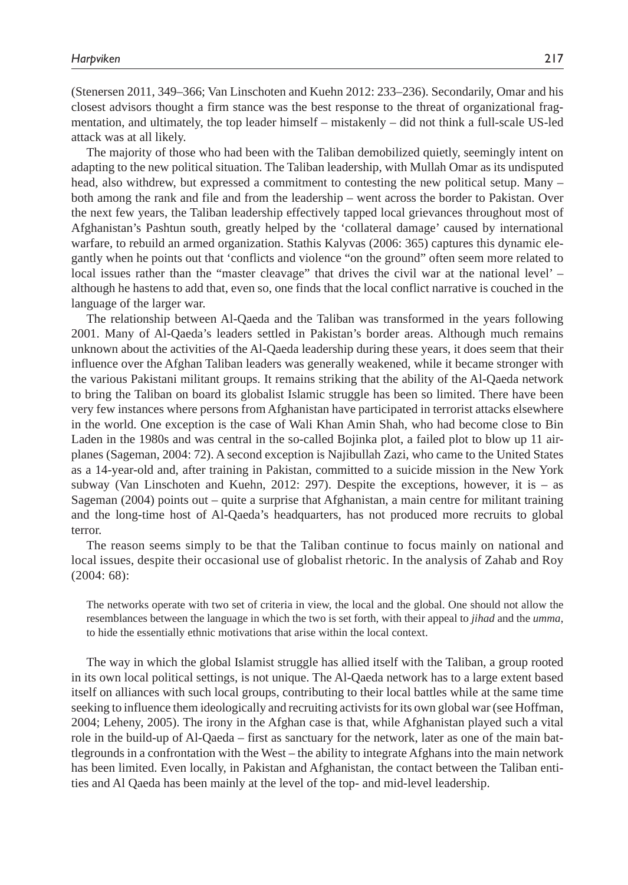(Stenersen 2011, 349–366; Van Linschoten and Kuehn 2012: 233–236). Secondarily, Omar and his closest advisors thought a firm stance was the best response to the threat of organizational fragmentation, and ultimately, the top leader himself – mistakenly – did not think a full-scale US-led attack was at all likely.

The majority of those who had been with the Taliban demobilized quietly, seemingly intent on adapting to the new political situation. The Taliban leadership, with Mullah Omar as its undisputed head, also withdrew, but expressed a commitment to contesting the new political setup. Many – both among the rank and file and from the leadership – went across the border to Pakistan. Over the next few years, the Taliban leadership effectively tapped local grievances throughout most of Afghanistan's Pashtun south, greatly helped by the 'collateral damage' caused by international warfare, to rebuild an armed organization. Stathis Kalyvas (2006: 365) captures this dynamic elegantly when he points out that 'conflicts and violence "on the ground" often seem more related to local issues rather than the "master cleavage" that drives the civil war at the national level' – although he hastens to add that, even so, one finds that the local conflict narrative is couched in the language of the larger war.

The relationship between Al-Qaeda and the Taliban was transformed in the years following 2001. Many of Al-Qaeda's leaders settled in Pakistan's border areas. Although much remains unknown about the activities of the Al-Qaeda leadership during these years, it does seem that their influence over the Afghan Taliban leaders was generally weakened, while it became stronger with the various Pakistani militant groups. It remains striking that the ability of the Al-Qaeda network to bring the Taliban on board its globalist Islamic struggle has been so limited. There have been very few instances where persons from Afghanistan have participated in terrorist attacks elsewhere in the world. One exception is the case of Wali Khan Amin Shah, who had become close to Bin Laden in the 1980s and was central in the so-called Bojinka plot, a failed plot to blow up 11 airplanes (Sageman, 2004: 72). A second exception is Najibullah Zazi, who came to the United States as a 14-year-old and, after training in Pakistan, committed to a suicide mission in the New York subway (Van Linschoten and Kuehn, 2012: 297). Despite the exceptions, however, it is  $-$  as Sageman (2004) points out – quite a surprise that Afghanistan, a main centre for militant training and the long-time host of Al-Qaeda's headquarters, has not produced more recruits to global terror.

The reason seems simply to be that the Taliban continue to focus mainly on national and local issues, despite their occasional use of globalist rhetoric. In the analysis of Zahab and Roy (2004: 68):

The networks operate with two set of criteria in view, the local and the global. One should not allow the resemblances between the language in which the two is set forth, with their appeal to *jihad* and the *umma*, to hide the essentially ethnic motivations that arise within the local context.

The way in which the global Islamist struggle has allied itself with the Taliban, a group rooted in its own local political settings, is not unique. The Al-Qaeda network has to a large extent based itself on alliances with such local groups, contributing to their local battles while at the same time seeking to influence them ideologically and recruiting activists for its own global war (see Hoffman, 2004; Leheny, 2005). The irony in the Afghan case is that, while Afghanistan played such a vital role in the build-up of Al-Qaeda – first as sanctuary for the network, later as one of the main battlegrounds in a confrontation with the West – the ability to integrate Afghans into the main network has been limited. Even locally, in Pakistan and Afghanistan, the contact between the Taliban entities and Al Qaeda has been mainly at the level of the top- and mid-level leadership.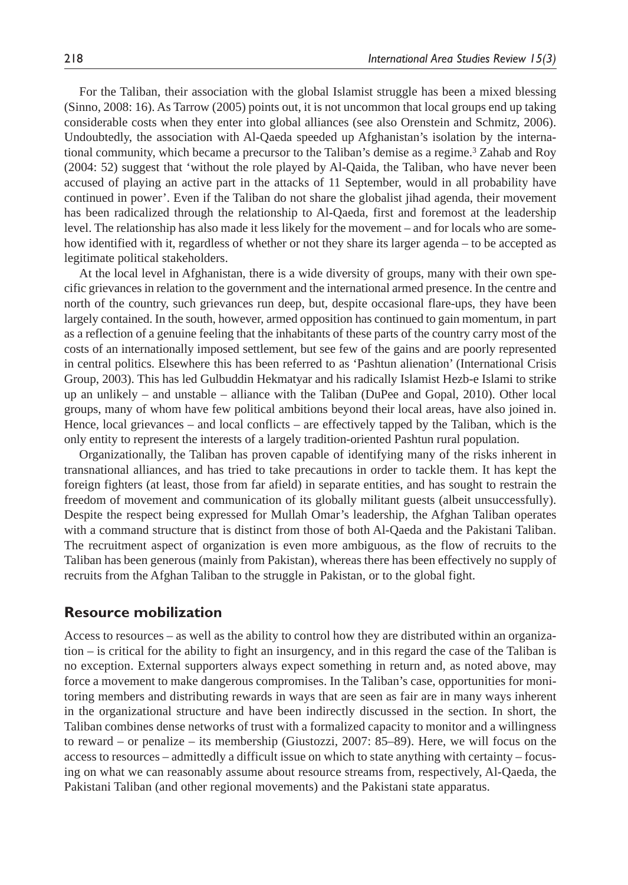For the Taliban, their association with the global Islamist struggle has been a mixed blessing (Sinno, 2008: 16). As Tarrow (2005) points out, it is not uncommon that local groups end up taking considerable costs when they enter into global alliances (see also Orenstein and Schmitz, 2006). Undoubtedly, the association with Al-Qaeda speeded up Afghanistan's isolation by the international community, which became a precursor to the Taliban's demise as a regime.<sup>3</sup> Zahab and Roy (2004: 52) suggest that 'without the role played by Al-Qaida, the Taliban, who have never been accused of playing an active part in the attacks of 11 September, would in all probability have continued in power'. Even if the Taliban do not share the globalist jihad agenda, their movement has been radicalized through the relationship to Al-Qaeda, first and foremost at the leadership level. The relationship has also made it less likely for the movement – and for locals who are somehow identified with it, regardless of whether or not they share its larger agenda – to be accepted as legitimate political stakeholders.

At the local level in Afghanistan, there is a wide diversity of groups, many with their own specific grievances in relation to the government and the international armed presence. In the centre and north of the country, such grievances run deep, but, despite occasional flare-ups, they have been largely contained. In the south, however, armed opposition has continued to gain momentum, in part as a reflection of a genuine feeling that the inhabitants of these parts of the country carry most of the costs of an internationally imposed settlement, but see few of the gains and are poorly represented in central politics. Elsewhere this has been referred to as 'Pashtun alienation' (International Crisis Group, 2003). This has led Gulbuddin Hekmatyar and his radically Islamist Hezb-e Islami to strike up an unlikely – and unstable – alliance with the Taliban (DuPee and Gopal, 2010). Other local groups, many of whom have few political ambitions beyond their local areas, have also joined in. Hence, local grievances – and local conflicts – are effectively tapped by the Taliban, which is the only entity to represent the interests of a largely tradition-oriented Pashtun rural population.

Organizationally, the Taliban has proven capable of identifying many of the risks inherent in transnational alliances, and has tried to take precautions in order to tackle them. It has kept the foreign fighters (at least, those from far afield) in separate entities, and has sought to restrain the freedom of movement and communication of its globally militant guests (albeit unsuccessfully). Despite the respect being expressed for Mullah Omar's leadership, the Afghan Taliban operates with a command structure that is distinct from those of both Al-Qaeda and the Pakistani Taliban. The recruitment aspect of organization is even more ambiguous, as the flow of recruits to the Taliban has been generous (mainly from Pakistan), whereas there has been effectively no supply of recruits from the Afghan Taliban to the struggle in Pakistan, or to the global fight.

# **Resource mobilization**

Access to resources – as well as the ability to control how they are distributed within an organization – is critical for the ability to fight an insurgency, and in this regard the case of the Taliban is no exception. External supporters always expect something in return and, as noted above, may force a movement to make dangerous compromises. In the Taliban's case, opportunities for monitoring members and distributing rewards in ways that are seen as fair are in many ways inherent in the organizational structure and have been indirectly discussed in the section. In short, the Taliban combines dense networks of trust with a formalized capacity to monitor and a willingness to reward – or penalize – its membership (Giustozzi, 2007: 85–89). Here, we will focus on the access to resources – admittedly a difficult issue on which to state anything with certainty – focusing on what we can reasonably assume about resource streams from, respectively, Al-Qaeda, the Pakistani Taliban (and other regional movements) and the Pakistani state apparatus.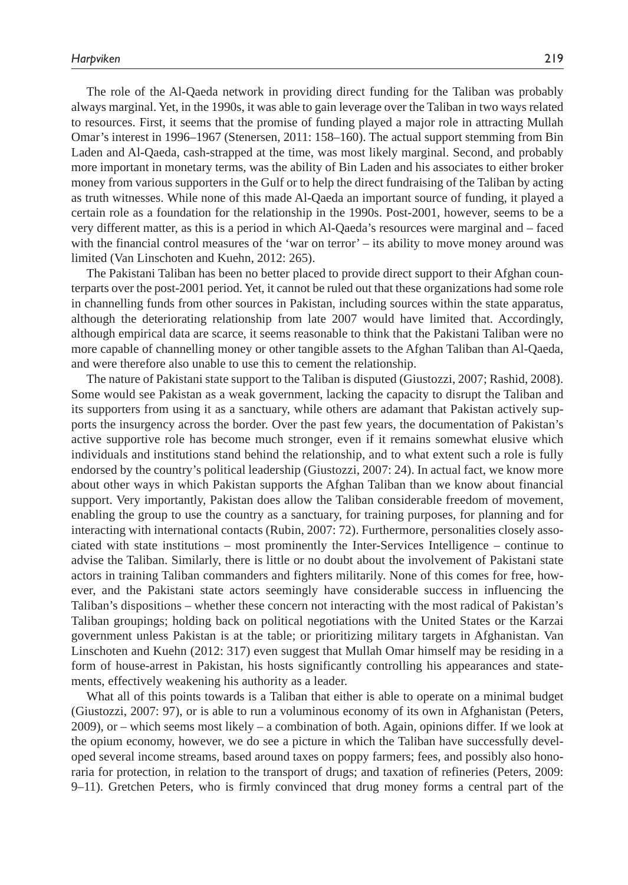The role of the Al-Qaeda network in providing direct funding for the Taliban was probably always marginal. Yet, in the 1990s, it was able to gain leverage over the Taliban in two ways related to resources. First, it seems that the promise of funding played a major role in attracting Mullah Omar's interest in 1996–1967 (Stenersen, 2011: 158–160). The actual support stemming from Bin Laden and Al-Qaeda, cash-strapped at the time, was most likely marginal. Second, and probably more important in monetary terms, was the ability of Bin Laden and his associates to either broker money from various supporters in the Gulf or to help the direct fundraising of the Taliban by acting as truth witnesses. While none of this made Al-Qaeda an important source of funding, it played a certain role as a foundation for the relationship in the 1990s. Post-2001, however, seems to be a very different matter, as this is a period in which Al-Qaeda's resources were marginal and – faced with the financial control measures of the 'war on terror' – its ability to move money around was limited (Van Linschoten and Kuehn, 2012: 265).

The Pakistani Taliban has been no better placed to provide direct support to their Afghan counterparts over the post-2001 period. Yet, it cannot be ruled out that these organizations had some role in channelling funds from other sources in Pakistan, including sources within the state apparatus, although the deteriorating relationship from late 2007 would have limited that. Accordingly, although empirical data are scarce, it seems reasonable to think that the Pakistani Taliban were no more capable of channelling money or other tangible assets to the Afghan Taliban than Al-Qaeda, and were therefore also unable to use this to cement the relationship.

The nature of Pakistani state support to the Taliban is disputed (Giustozzi, 2007; Rashid, 2008). Some would see Pakistan as a weak government, lacking the capacity to disrupt the Taliban and its supporters from using it as a sanctuary, while others are adamant that Pakistan actively supports the insurgency across the border. Over the past few years, the documentation of Pakistan's active supportive role has become much stronger, even if it remains somewhat elusive which individuals and institutions stand behind the relationship, and to what extent such a role is fully endorsed by the country's political leadership (Giustozzi, 2007: 24). In actual fact, we know more about other ways in which Pakistan supports the Afghan Taliban than we know about financial support. Very importantly, Pakistan does allow the Taliban considerable freedom of movement, enabling the group to use the country as a sanctuary, for training purposes, for planning and for interacting with international contacts (Rubin, 2007: 72). Furthermore, personalities closely associated with state institutions – most prominently the Inter-Services Intelligence – continue to advise the Taliban. Similarly, there is little or no doubt about the involvement of Pakistani state actors in training Taliban commanders and fighters militarily. None of this comes for free, however, and the Pakistani state actors seemingly have considerable success in influencing the Taliban's dispositions – whether these concern not interacting with the most radical of Pakistan's Taliban groupings; holding back on political negotiations with the United States or the Karzai government unless Pakistan is at the table; or prioritizing military targets in Afghanistan. Van Linschoten and Kuehn (2012: 317) even suggest that Mullah Omar himself may be residing in a form of house-arrest in Pakistan, his hosts significantly controlling his appearances and statements, effectively weakening his authority as a leader.

What all of this points towards is a Taliban that either is able to operate on a minimal budget (Giustozzi, 2007: 97), or is able to run a voluminous economy of its own in Afghanistan (Peters, 2009), or – which seems most likely – a combination of both. Again, opinions differ. If we look at the opium economy, however, we do see a picture in which the Taliban have successfully developed several income streams, based around taxes on poppy farmers; fees, and possibly also honoraria for protection, in relation to the transport of drugs; and taxation of refineries (Peters, 2009: 9–11). Gretchen Peters, who is firmly convinced that drug money forms a central part of the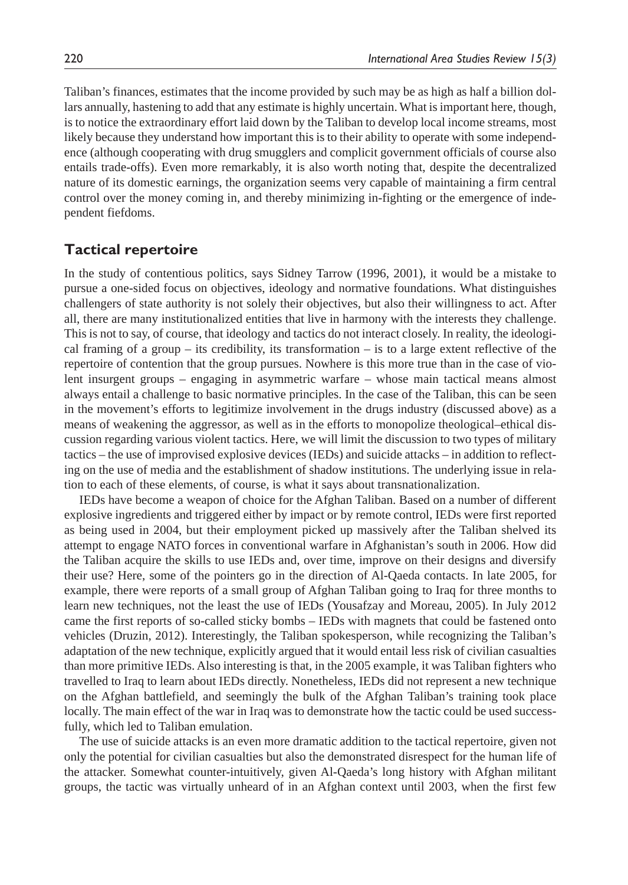Taliban's finances, estimates that the income provided by such may be as high as half a billion dollars annually, hastening to add that any estimate is highly uncertain. What is important here, though, is to notice the extraordinary effort laid down by the Taliban to develop local income streams, most likely because they understand how important this is to their ability to operate with some independence (although cooperating with drug smugglers and complicit government officials of course also entails trade-offs). Even more remarkably, it is also worth noting that, despite the decentralized nature of its domestic earnings, the organization seems very capable of maintaining a firm central control over the money coming in, and thereby minimizing in-fighting or the emergence of independent fiefdoms.

# **Tactical repertoire**

In the study of contentious politics, says Sidney Tarrow (1996, 2001), it would be a mistake to pursue a one-sided focus on objectives, ideology and normative foundations. What distinguishes challengers of state authority is not solely their objectives, but also their willingness to act. After all, there are many institutionalized entities that live in harmony with the interests they challenge. This is not to say, of course, that ideology and tactics do not interact closely. In reality, the ideological framing of a group – its credibility, its transformation – is to a large extent reflective of the repertoire of contention that the group pursues. Nowhere is this more true than in the case of violent insurgent groups – engaging in asymmetric warfare – whose main tactical means almost always entail a challenge to basic normative principles. In the case of the Taliban, this can be seen in the movement's efforts to legitimize involvement in the drugs industry (discussed above) as a means of weakening the aggressor, as well as in the efforts to monopolize theological–ethical discussion regarding various violent tactics. Here, we will limit the discussion to two types of military tactics – the use of improvised explosive devices (IEDs) and suicide attacks – in addition to reflecting on the use of media and the establishment of shadow institutions. The underlying issue in relation to each of these elements, of course, is what it says about transnationalization.

IEDs have become a weapon of choice for the Afghan Taliban. Based on a number of different explosive ingredients and triggered either by impact or by remote control, IEDs were first reported as being used in 2004, but their employment picked up massively after the Taliban shelved its attempt to engage NATO forces in conventional warfare in Afghanistan's south in 2006. How did the Taliban acquire the skills to use IEDs and, over time, improve on their designs and diversify their use? Here, some of the pointers go in the direction of Al-Qaeda contacts. In late 2005, for example, there were reports of a small group of Afghan Taliban going to Iraq for three months to learn new techniques, not the least the use of IEDs (Yousafzay and Moreau, 2005). In July 2012 came the first reports of so-called sticky bombs – IEDs with magnets that could be fastened onto vehicles (Druzin, 2012). Interestingly, the Taliban spokesperson, while recognizing the Taliban's adaptation of the new technique, explicitly argued that it would entail less risk of civilian casualties than more primitive IEDs. Also interesting is that, in the 2005 example, it was Taliban fighters who travelled to Iraq to learn about IEDs directly. Nonetheless, IEDs did not represent a new technique on the Afghan battlefield, and seemingly the bulk of the Afghan Taliban's training took place locally. The main effect of the war in Iraq was to demonstrate how the tactic could be used successfully, which led to Taliban emulation.

The use of suicide attacks is an even more dramatic addition to the tactical repertoire, given not only the potential for civilian casualties but also the demonstrated disrespect for the human life of the attacker. Somewhat counter-intuitively, given Al-Qaeda's long history with Afghan militant groups, the tactic was virtually unheard of in an Afghan context until 2003, when the first few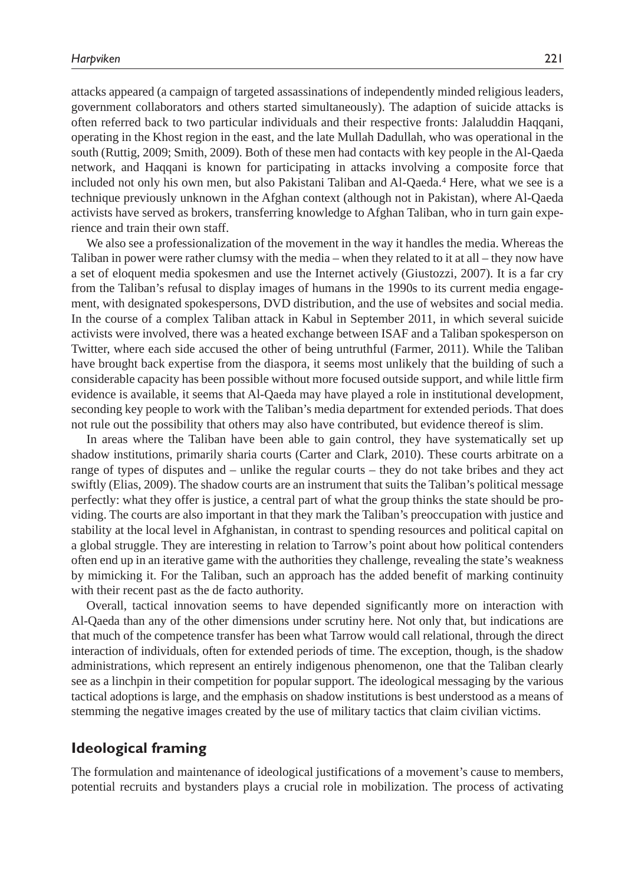attacks appeared (a campaign of targeted assassinations of independently minded religious leaders, government collaborators and others started simultaneously). The adaption of suicide attacks is often referred back to two particular individuals and their respective fronts: Jalaluddin Haqqani, operating in the Khost region in the east, and the late Mullah Dadullah, who was operational in the south (Ruttig, 2009; Smith, 2009). Both of these men had contacts with key people in the Al-Qaeda network, and Haqqani is known for participating in attacks involving a composite force that included not only his own men, but also Pakistani Taliban and Al-Qaeda.4 Here, what we see is a technique previously unknown in the Afghan context (although not in Pakistan), where Al-Qaeda activists have served as brokers, transferring knowledge to Afghan Taliban, who in turn gain experience and train their own staff.

We also see a professionalization of the movement in the way it handles the media. Whereas the Taliban in power were rather clumsy with the media – when they related to it at all – they now have a set of eloquent media spokesmen and use the Internet actively (Giustozzi, 2007). It is a far cry from the Taliban's refusal to display images of humans in the 1990s to its current media engagement, with designated spokespersons, DVD distribution, and the use of websites and social media. In the course of a complex Taliban attack in Kabul in September 2011, in which several suicide activists were involved, there was a heated exchange between ISAF and a Taliban spokesperson on Twitter, where each side accused the other of being untruthful (Farmer, 2011). While the Taliban have brought back expertise from the diaspora, it seems most unlikely that the building of such a considerable capacity has been possible without more focused outside support, and while little firm evidence is available, it seems that Al-Qaeda may have played a role in institutional development, seconding key people to work with the Taliban's media department for extended periods. That does not rule out the possibility that others may also have contributed, but evidence thereof is slim.

In areas where the Taliban have been able to gain control, they have systematically set up shadow institutions, primarily sharia courts (Carter and Clark, 2010). These courts arbitrate on a range of types of disputes and – unlike the regular courts – they do not take bribes and they act swiftly (Elias, 2009). The shadow courts are an instrument that suits the Taliban's political message perfectly: what they offer is justice, a central part of what the group thinks the state should be providing. The courts are also important in that they mark the Taliban's preoccupation with justice and stability at the local level in Afghanistan, in contrast to spending resources and political capital on a global struggle. They are interesting in relation to Tarrow's point about how political contenders often end up in an iterative game with the authorities they challenge, revealing the state's weakness by mimicking it. For the Taliban, such an approach has the added benefit of marking continuity with their recent past as the de facto authority.

Overall, tactical innovation seems to have depended significantly more on interaction with Al-Qaeda than any of the other dimensions under scrutiny here. Not only that, but indications are that much of the competence transfer has been what Tarrow would call relational, through the direct interaction of individuals, often for extended periods of time. The exception, though, is the shadow administrations, which represent an entirely indigenous phenomenon, one that the Taliban clearly see as a linchpin in their competition for popular support. The ideological messaging by the various tactical adoptions is large, and the emphasis on shadow institutions is best understood as a means of stemming the negative images created by the use of military tactics that claim civilian victims.

# **Ideological framing**

The formulation and maintenance of ideological justifications of a movement's cause to members, potential recruits and bystanders plays a crucial role in mobilization. The process of activating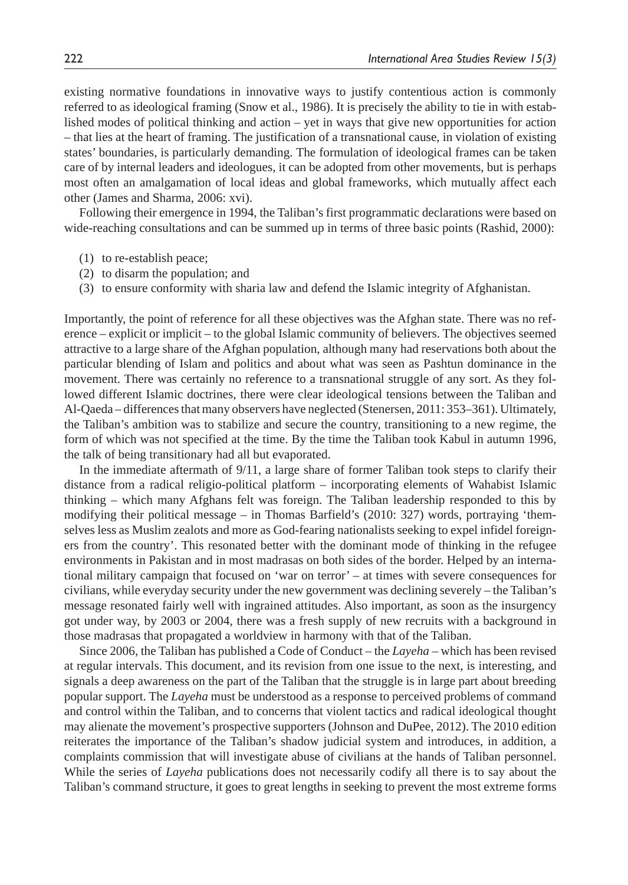existing normative foundations in innovative ways to justify contentious action is commonly referred to as ideological framing (Snow et al., 1986). It is precisely the ability to tie in with established modes of political thinking and action – yet in ways that give new opportunities for action – that lies at the heart of framing. The justification of a transnational cause, in violation of existing states' boundaries, is particularly demanding. The formulation of ideological frames can be taken care of by internal leaders and ideologues, it can be adopted from other movements, but is perhaps most often an amalgamation of local ideas and global frameworks, which mutually affect each other (James and Sharma, 2006: xvi).

Following their emergence in 1994, the Taliban's first programmatic declarations were based on wide-reaching consultations and can be summed up in terms of three basic points (Rashid, 2000):

- (1) to re-establish peace;
- (2) to disarm the population; and
- (3) to ensure conformity with sharia law and defend the Islamic integrity of Afghanistan.

Importantly, the point of reference for all these objectives was the Afghan state. There was no reference – explicit or implicit – to the global Islamic community of believers. The objectives seemed attractive to a large share of the Afghan population, although many had reservations both about the particular blending of Islam and politics and about what was seen as Pashtun dominance in the movement. There was certainly no reference to a transnational struggle of any sort. As they followed different Islamic doctrines, there were clear ideological tensions between the Taliban and Al-Qaeda – differences that many observers have neglected (Stenersen, 2011: 353–361). Ultimately, the Taliban's ambition was to stabilize and secure the country, transitioning to a new regime, the form of which was not specified at the time. By the time the Taliban took Kabul in autumn 1996, the talk of being transitionary had all but evaporated.

In the immediate aftermath of 9/11, a large share of former Taliban took steps to clarify their distance from a radical religio-political platform – incorporating elements of Wahabist Islamic thinking – which many Afghans felt was foreign. The Taliban leadership responded to this by modifying their political message – in Thomas Barfield's (2010: 327) words, portraying 'themselves less as Muslim zealots and more as God-fearing nationalists seeking to expel infidel foreigners from the country'. This resonated better with the dominant mode of thinking in the refugee environments in Pakistan and in most madrasas on both sides of the border. Helped by an international military campaign that focused on 'war on terror' – at times with severe consequences for civilians, while everyday security under the new government was declining severely – the Taliban's message resonated fairly well with ingrained attitudes. Also important, as soon as the insurgency got under way, by 2003 or 2004, there was a fresh supply of new recruits with a background in those madrasas that propagated a worldview in harmony with that of the Taliban.

Since 2006, the Taliban has published a Code of Conduct – the *Layeha* – which has been revised at regular intervals. This document, and its revision from one issue to the next, is interesting, and signals a deep awareness on the part of the Taliban that the struggle is in large part about breeding popular support. The *Layeha* must be understood as a response to perceived problems of command and control within the Taliban, and to concerns that violent tactics and radical ideological thought may alienate the movement's prospective supporters (Johnson and DuPee, 2012). The 2010 edition reiterates the importance of the Taliban's shadow judicial system and introduces, in addition, a complaints commission that will investigate abuse of civilians at the hands of Taliban personnel. While the series of *Layeha* publications does not necessarily codify all there is to say about the Taliban's command structure, it goes to great lengths in seeking to prevent the most extreme forms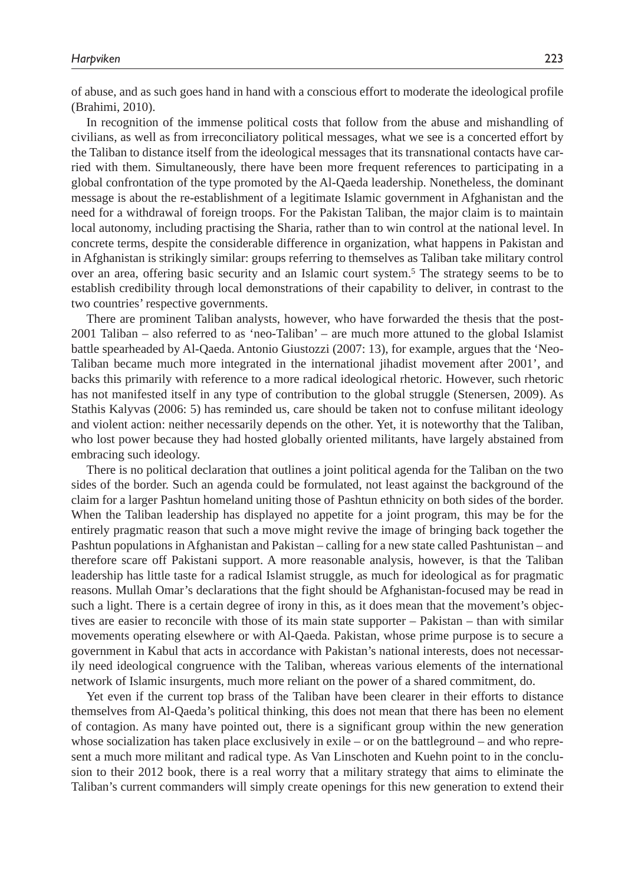of abuse, and as such goes hand in hand with a conscious effort to moderate the ideological profile (Brahimi, 2010).

In recognition of the immense political costs that follow from the abuse and mishandling of civilians, as well as from irreconciliatory political messages, what we see is a concerted effort by the Taliban to distance itself from the ideological messages that its transnational contacts have carried with them. Simultaneously, there have been more frequent references to participating in a global confrontation of the type promoted by the Al-Qaeda leadership. Nonetheless, the dominant message is about the re-establishment of a legitimate Islamic government in Afghanistan and the need for a withdrawal of foreign troops. For the Pakistan Taliban, the major claim is to maintain local autonomy, including practising the Sharia, rather than to win control at the national level. In concrete terms, despite the considerable difference in organization, what happens in Pakistan and in Afghanistan is strikingly similar: groups referring to themselves as Taliban take military control over an area, offering basic security and an Islamic court system.5 The strategy seems to be to establish credibility through local demonstrations of their capability to deliver, in contrast to the two countries' respective governments.

There are prominent Taliban analysts, however, who have forwarded the thesis that the post-2001 Taliban – also referred to as 'neo-Taliban' – are much more attuned to the global Islamist battle spearheaded by Al-Qaeda. Antonio Giustozzi (2007: 13), for example, argues that the 'Neo-Taliban became much more integrated in the international jihadist movement after 2001', and backs this primarily with reference to a more radical ideological rhetoric. However, such rhetoric has not manifested itself in any type of contribution to the global struggle (Stenersen, 2009). As Stathis Kalyvas (2006: 5) has reminded us, care should be taken not to confuse militant ideology and violent action: neither necessarily depends on the other. Yet, it is noteworthy that the Taliban, who lost power because they had hosted globally oriented militants, have largely abstained from embracing such ideology.

There is no political declaration that outlines a joint political agenda for the Taliban on the two sides of the border. Such an agenda could be formulated, not least against the background of the claim for a larger Pashtun homeland uniting those of Pashtun ethnicity on both sides of the border. When the Taliban leadership has displayed no appetite for a joint program, this may be for the entirely pragmatic reason that such a move might revive the image of bringing back together the Pashtun populations in Afghanistan and Pakistan – calling for a new state called Pashtunistan – and therefore scare off Pakistani support. A more reasonable analysis, however, is that the Taliban leadership has little taste for a radical Islamist struggle, as much for ideological as for pragmatic reasons. Mullah Omar's declarations that the fight should be Afghanistan-focused may be read in such a light. There is a certain degree of irony in this, as it does mean that the movement's objectives are easier to reconcile with those of its main state supporter – Pakistan – than with similar movements operating elsewhere or with Al-Qaeda. Pakistan, whose prime purpose is to secure a government in Kabul that acts in accordance with Pakistan's national interests, does not necessarily need ideological congruence with the Taliban, whereas various elements of the international network of Islamic insurgents, much more reliant on the power of a shared commitment, do.

Yet even if the current top brass of the Taliban have been clearer in their efforts to distance themselves from Al-Qaeda's political thinking, this does not mean that there has been no element of contagion. As many have pointed out, there is a significant group within the new generation whose socialization has taken place exclusively in exile – or on the battleground – and who represent a much more militant and radical type. As Van Linschoten and Kuehn point to in the conclusion to their 2012 book, there is a real worry that a military strategy that aims to eliminate the Taliban's current commanders will simply create openings for this new generation to extend their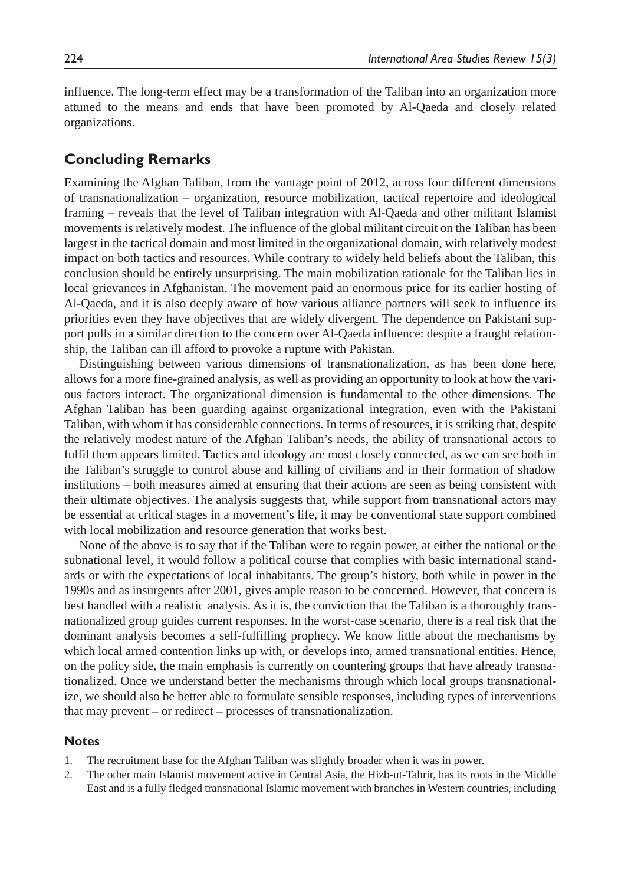influence. The long-term effect may be a transformation of the Taliban into an organization more attuned to the means and ends that have been promoted by Al-Qaeda and closely related organizations.

# **Concluding Remarks**

Examining the Afghan Taliban, from the vantage point of 2012, across four different dimensions of transnationalization – organization, resource mobilization, tactical repertoire and ideological framing – reveals that the level of Taliban integration with Al-Qaeda and other militant Islamist movements is relatively modest. The influence of the global militant circuit on the Taliban has been largest in the tactical domain and most limited in the organizational domain, with relatively modest impact on both tactics and resources. While contrary to widely held beliefs about the Taliban, this conclusion should be entirely unsurprising. The main mobilization rationale for the Taliban lies in local grievances in Afghanistan. The movement paid an enormous price for its earlier hosting of Al-Qaeda, and it is also deeply aware of how various alliance partners will seek to influence its priorities even they have objectives that are widely divergent. The dependence on Pakistani support pulls in a similar direction to the concern over Al-Qaeda influence: despite a fraught relationship, the Taliban can ill afford to provoke a rupture with Pakistan.

Distinguishing between various dimensions of transnationalization, as has been done here, allows for a more fine-grained analysis, as well as providing an opportunity to look at how the various factors interact. The organizational dimension is fundamental to the other dimensions. The Afghan Taliban has been guarding against organizational integration, even with the Pakistani Taliban, with whom it has considerable connections. In terms of resources, it is striking that, despite the relatively modest nature of the Afghan Taliban's needs, the ability of transnational actors to fulfil them appears limited. Tactics and ideology are most closely connected, as we can see both in the Taliban's struggle to control abuse and killing of civilians and in their formation of shadow institutions – both measures aimed at ensuring that their actions are seen as being consistent with their ultimate objectives. The analysis suggests that, while support from transnational actors may be essential at critical stages in a movement's life, it may be conventional state support combined with local mobilization and resource generation that works best.

None of the above is to say that if the Taliban were to regain power, at either the national or the subnational level, it would follow a political course that complies with basic international standards or with the expectations of local inhabitants. The group's history, both while in power in the 1990s and as insurgents after 2001, gives ample reason to be concerned. However, that concern is best handled with a realistic analysis. As it is, the conviction that the Taliban is a thoroughly transnationalized group guides current responses. In the worst-case scenario, there is a real risk that the dominant analysis becomes a self-fulfilling prophecy. We know little about the mechanisms by which local armed contention links up with, or develops into, armed transnational entities. Hence, on the policy side, the main emphasis is currently on countering groups that have already transnationalized. Once we understand better the mechanisms through which local groups transnationalize, we should also be better able to formulate sensible responses, including types of interventions that may prevent – or redirect – processes of transnationalization.

#### **Notes**

- 1. The recruitment base for the Afghan Taliban was slightly broader when it was in power.
- 2. The other main Islamist movement active in Central Asia, the Hizb-ut-Tahrir, has its roots in the Middle East and is a fully fledged transnational Islamic movement with branches in Western countries, including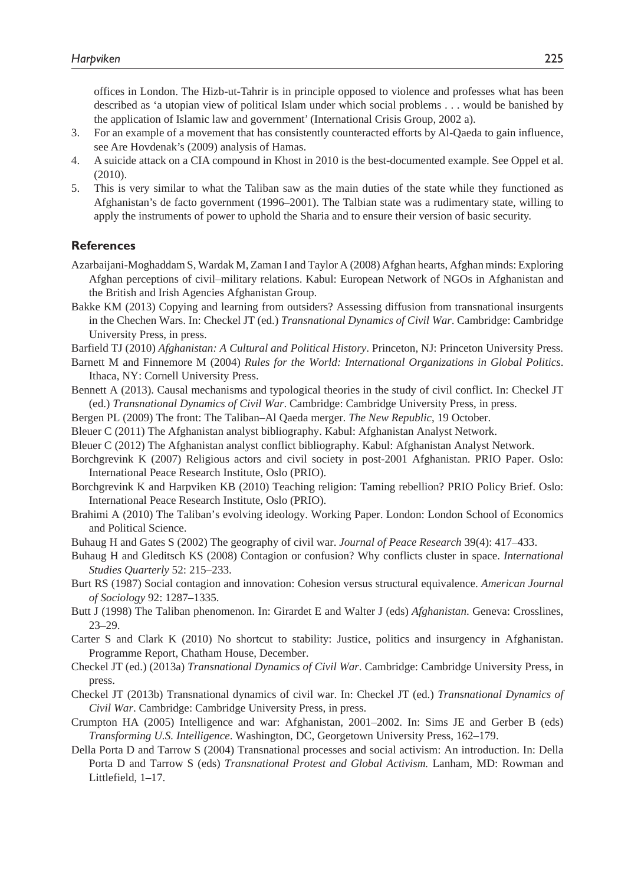offices in London. The Hizb-ut-Tahrir is in principle opposed to violence and professes what has been described as 'a utopian view of political Islam under which social problems . . . would be banished by the application of Islamic law and government' (International Crisis Group, 2002 a).

- 3. For an example of a movement that has consistently counteracted efforts by Al-Qaeda to gain influence, see Are Hovdenak's (2009) analysis of Hamas.
- 4. A suicide attack on a CIA compound in Khost in 2010 is the best-documented example. See Oppel et al.  $(2010)$ .
- 5. This is very similar to what the Taliban saw as the main duties of the state while they functioned as Afghanistan's de facto government (1996–2001). The Talbian state was a rudimentary state, willing to apply the instruments of power to uphold the Sharia and to ensure their version of basic security.

#### **References**

- Azarbaijani-Moghaddam S, Wardak M, Zaman I and Taylor A (2008) Afghan hearts, Afghan minds: Exploring Afghan perceptions of civil–military relations. Kabul: European Network of NGOs in Afghanistan and the British and Irish Agencies Afghanistan Group.
- Bakke KM (2013) Copying and learning from outsiders? Assessing diffusion from transnational insurgents in the Chechen Wars. In: Checkel JT (ed.) *Transnational Dynamics of Civil War*. Cambridge: Cambridge University Press, in press.
- Barfield TJ (2010) *Afghanistan: A Cultural and Political History*. Princeton, NJ: Princeton University Press.
- Barnett M and Finnemore M (2004) *Rules for the World: International Organizations in Global Politics*. Ithaca, NY: Cornell University Press.
- Bennett A (2013). Causal mechanisms and typological theories in the study of civil conflict. In: Checkel JT (ed.) *Transnational Dynamics of Civil War*. Cambridge: Cambridge University Press, in press.
- Bergen PL (2009) The front: The Taliban–Al Qaeda merger. *The New Republic*, 19 October.
- Bleuer C (2011) The Afghanistan analyst bibliography. Kabul: Afghanistan Analyst Network.
- Bleuer C (2012) The Afghanistan analyst conflict bibliography. Kabul: Afghanistan Analyst Network.
- Borchgrevink K (2007) Religious actors and civil society in post-2001 Afghanistan. PRIO Paper. Oslo: International Peace Research Institute, Oslo (PRIO).
- Borchgrevink K and Harpviken KB (2010) Teaching religion: Taming rebellion? PRIO Policy Brief. Oslo: International Peace Research Institute, Oslo (PRIO).
- Brahimi A (2010) The Taliban's evolving ideology. Working Paper. London: London School of Economics and Political Science.
- Buhaug H and Gates S (2002) The geography of civil war. *Journal of Peace Research* 39(4): 417–433.
- Buhaug H and Gleditsch KS (2008) Contagion or confusion? Why conflicts cluster in space. *International Studies Quarterly* 52: 215–233.
- Burt RS (1987) Social contagion and innovation: Cohesion versus structural equivalence. *American Journal of Sociology* 92: 1287–1335.
- Butt J (1998) The Taliban phenomenon. In: Girardet E and Walter J (eds) *Afghanistan*. Geneva: Crosslines, 23–29.
- Carter S and Clark K (2010) No shortcut to stability: Justice, politics and insurgency in Afghanistan. Programme Report, Chatham House, December.
- Checkel JT (ed.) (2013a) *Transnational Dynamics of Civil War*. Cambridge: Cambridge University Press, in press.
- Checkel JT (2013b) Transnational dynamics of civil war. In: Checkel JT (ed.) *Transnational Dynamics of Civil War*. Cambridge: Cambridge University Press, in press.
- Crumpton HA (2005) Intelligence and war: Afghanistan, 2001–2002. In: Sims JE and Gerber B (eds) *Transforming U.S. Intelligence*. Washington, DC, Georgetown University Press, 162–179.
- Della Porta D and Tarrow S (2004) Transnational processes and social activism: An introduction. In: Della Porta D and Tarrow S (eds) *Transnational Protest and Global Activism.* Lanham, MD: Rowman and Littlefield, 1–17.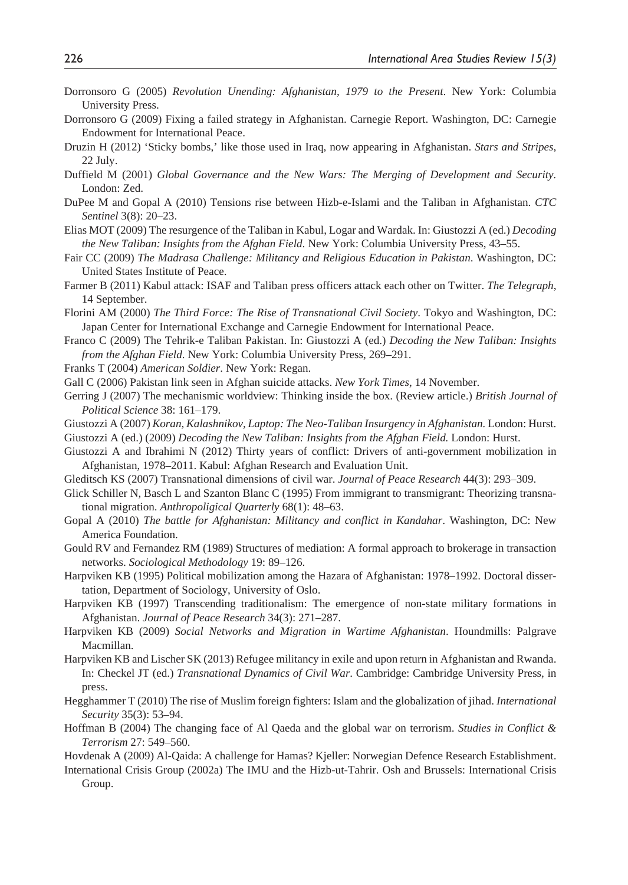- Dorronsoro G (2005) *Revolution Unending: Afghanistan, 1979 to the Present*. New York: Columbia University Press.
- Dorronsoro G (2009) Fixing a failed strategy in Afghanistan. Carnegie Report. Washington, DC: Carnegie Endowment for International Peace.
- Druzin H (2012) 'Sticky bombs,' like those used in Iraq, now appearing in Afghanistan. *Stars and Stripes*, 22 July.
- Duffield M (2001) *Global Governance and the New Wars: The Merging of Development and Security.* London: Zed.
- DuPee M and Gopal A (2010) Tensions rise between Hizb-e-Islami and the Taliban in Afghanistan. *CTC Sentinel* 3(8): 20–23.
- Elias MOT (2009) The resurgence of the Taliban in Kabul, Logar and Wardak. In: Giustozzi A (ed.) *Decoding the New Taliban: Insights from the Afghan Field*. New York: Columbia University Press, 43–55.
- Fair CC (2009) *The Madrasa Challenge: Militancy and Religious Education in Pakistan*. Washington, DC: United States Institute of Peace.
- Farmer B (2011) Kabul attack: ISAF and Taliban press officers attack each other on Twitter. *The Telegraph*, 14 September.
- Florini AM (2000) *The Third Force: The Rise of Transnational Civil Society*. Tokyo and Washington, DC: Japan Center for International Exchange and Carnegie Endowment for International Peace.
- Franco C (2009) The Tehrik-e Taliban Pakistan. In: Giustozzi A (ed.) *Decoding the New Taliban: Insights from the Afghan Field*. New York: Columbia University Press, 269–291.
- Franks T (2004) *American Soldier*. New York: Regan.
- Gall C (2006) Pakistan link seen in Afghan suicide attacks. *New York Times*, 14 November.
- Gerring J (2007) The mechanismic worldview: Thinking inside the box. (Review article.) *British Journal of Political Science* 38: 161–179.
- Giustozzi A (2007) *Koran, Kalashnikov, Laptop: The Neo-Taliban Insurgency in Afghanistan.* London: Hurst.
- Giustozzi A (ed.) (2009) *Decoding the New Taliban: Insights from the Afghan Field.* London: Hurst.
- Giustozzi A and Ibrahimi N (2012) Thirty years of conflict: Drivers of anti-government mobilization in Afghanistan, 1978–2011. Kabul: Afghan Research and Evaluation Unit.
- Gleditsch KS (2007) Transnational dimensions of civil war. *Journal of Peace Research* 44(3): 293–309.
- Glick Schiller N, Basch L and Szanton Blanc C (1995) From immigrant to transmigrant: Theorizing transnational migration. *Anthropoligical Quarterly* 68(1): 48–63.
- Gopal A (2010) *The battle for Afghanistan: Militancy and conflict in Kandahar*. Washington, DC: New America Foundation.
- Gould RV and Fernandez RM (1989) Structures of mediation: A formal approach to brokerage in transaction networks. *Sociological Methodology* 19: 89–126.
- Harpviken KB (1995) Political mobilization among the Hazara of Afghanistan: 1978–1992. Doctoral dissertation, Department of Sociology, University of Oslo.
- Harpviken KB (1997) Transcending traditionalism: The emergence of non-state military formations in Afghanistan. *Journal of Peace Research* 34(3): 271–287.
- Harpviken KB (2009) *Social Networks and Migration in Wartime Afghanistan*. Houndmills: Palgrave Macmillan.
- Harpviken KB and Lischer SK (2013) Refugee militancy in exile and upon return in Afghanistan and Rwanda. In: Checkel JT (ed.) *Transnational Dynamics of Civil War*. Cambridge: Cambridge University Press, in press.
- Hegghammer T (2010) The rise of Muslim foreign fighters: Islam and the globalization of jihad. *International Security* 35(3): 53–94.
- Hoffman B (2004) The changing face of Al Qaeda and the global war on terrorism. *Studies in Conflict & Terrorism* 27: 549–560.
- Hovdenak A (2009) Al-Qaida: A challenge for Hamas? Kjeller: Norwegian Defence Research Establishment.
- International Crisis Group (2002a) The IMU and the Hizb-ut-Tahrir. Osh and Brussels: International Crisis Group.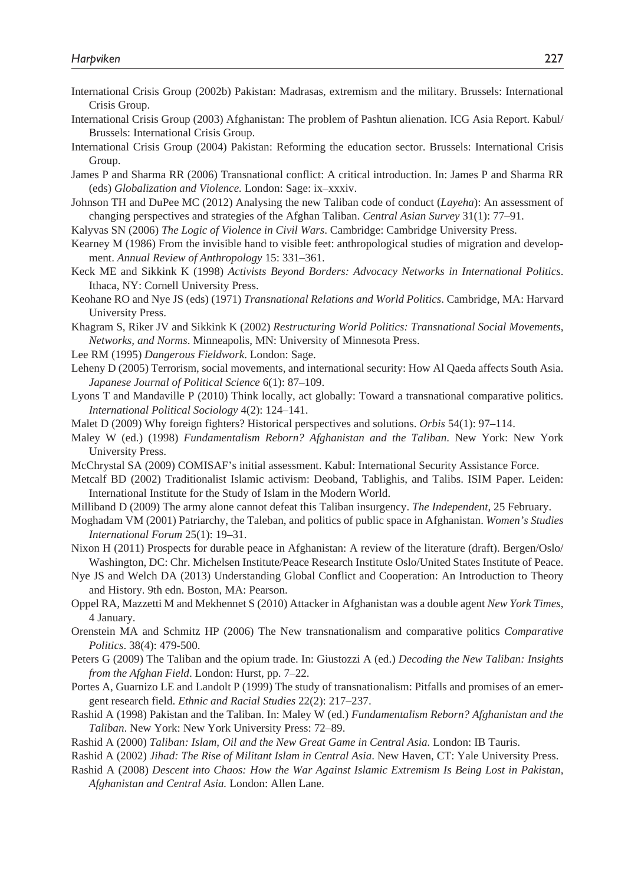- International Crisis Group (2002b) Pakistan: Madrasas, extremism and the military. Brussels: International Crisis Group.
- International Crisis Group (2003) Afghanistan: The problem of Pashtun alienation. ICG Asia Report. Kabul/ Brussels: International Crisis Group.
- International Crisis Group (2004) Pakistan: Reforming the education sector. Brussels: International Crisis Group.
- James P and Sharma RR (2006) Transnational conflict: A critical introduction. In: James P and Sharma RR (eds) *Globalization and Violence.* London: Sage: ix–xxxiv.
- Johnson TH and DuPee MC (2012) Analysing the new Taliban code of conduct (*Layeha*): An assessment of changing perspectives and strategies of the Afghan Taliban. *Central Asian Survey* 31(1): 77–91.
- Kalyvas SN (2006) *The Logic of Violence in Civil Wars*. Cambridge: Cambridge University Press.
- Kearney M (1986) From the invisible hand to visible feet: anthropological studies of migration and development. *Annual Review of Anthropology* 15: 331–361.
- Keck ME and Sikkink K (1998) *Activists Beyond Borders: Advocacy Networks in International Politics*. Ithaca, NY: Cornell University Press.
- Keohane RO and Nye JS (eds) (1971) *Transnational Relations and World Politics*. Cambridge, MA: Harvard University Press.
- Khagram S, Riker JV and Sikkink K (2002) *Restructuring World Politics: Transnational Social Movements, Networks, and Norms*. Minneapolis, MN: University of Minnesota Press.
- Lee RM (1995) *Dangerous Fieldwork*. London: Sage.
- Leheny D (2005) Terrorism, social movements, and international security: How Al Qaeda affects South Asia. *Japanese Journal of Political Science* 6(1): 87–109.
- Lyons T and Mandaville P (2010) Think locally, act globally: Toward a transnational comparative politics. *International Political Sociology* 4(2): 124–141.
- Malet D (2009) Why foreign fighters? Historical perspectives and solutions. *Orbis* 54(1): 97–114.
- Maley W (ed.) (1998) *Fundamentalism Reborn? Afghanistan and the Taliban*. New York: New York University Press.
- McChrystal SA (2009) COMISAF's initial assessment. Kabul: International Security Assistance Force.
- Metcalf BD (2002) Traditionalist Islamic activism: Deoband, Tablighis, and Talibs. ISIM Paper. Leiden: International Institute for the Study of Islam in the Modern World.
- Milliband D (2009) The army alone cannot defeat this Taliban insurgency. *The Independent*, 25 February.
- Moghadam VM (2001) Patriarchy, the Taleban, and politics of public space in Afghanistan. *Women's Studies International Forum* 25(1): 19–31.
- Nixon H (2011) Prospects for durable peace in Afghanistan: A review of the literature (draft). Bergen/Oslo/ Washington, DC: Chr. Michelsen Institute/Peace Research Institute Oslo/United States Institute of Peace.
- Nye JS and Welch DA (2013) Understanding Global Conflict and Cooperation: An Introduction to Theory and History. 9th edn. Boston, MA: Pearson.
- Oppel RA, Mazzetti M and Mekhennet S (2010) Attacker in Afghanistan was a double agent *New York Times,* 4 January.
- Orenstein MA and Schmitz HP (2006) The New transnationalism and comparative politics *Comparative Politics*. 38(4): 479-500.
- Peters G (2009) The Taliban and the opium trade. In: Giustozzi A (ed.) *Decoding the New Taliban: Insights from the Afghan Field*. London: Hurst, pp. 7–22.
- Portes A, Guarnizo LE and Landolt P (1999) The study of transnationalism: Pitfalls and promises of an emergent research field. *Ethnic and Racial Studies* 22(2): 217–237.
- Rashid A (1998) Pakistan and the Taliban. In: Maley W (ed.) *Fundamentalism Reborn? Afghanistan and the Taliban*. New York: New York University Press: 72–89.
- Rashid A (2000) *Taliban: Islam, Oil and the New Great Game in Central Asia.* London: IB Tauris.
- Rashid A (2002) *Jihad: The Rise of Militant Islam in Central Asia*. New Haven, CT: Yale University Press.
- Rashid A (2008) *Descent into Chaos: How the War Against Islamic Extremism Is Being Lost in Pakistan, Afghanistan and Central Asia.* London: Allen Lane.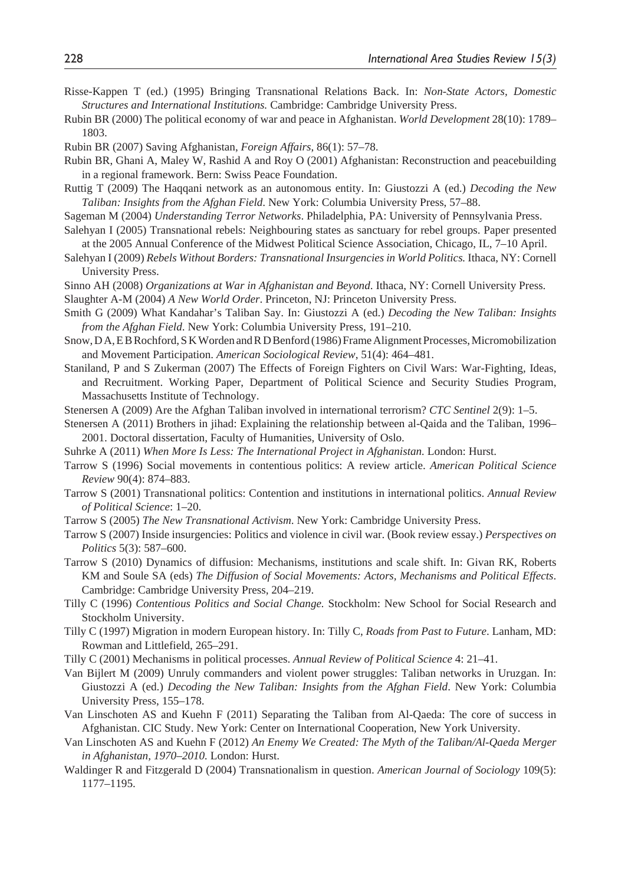- Risse-Kappen T (ed.) (1995) Bringing Transnational Relations Back. In: *Non-State Actors, Domestic Structures and International Institutions.* Cambridge: Cambridge University Press.
- Rubin BR (2000) The political economy of war and peace in Afghanistan. *World Development* 28(10): 1789– 1803.
- Rubin BR (2007) Saving Afghanistan, *Foreign Affairs*, 86(1): 57–78.
- Rubin BR, Ghani A, Maley W, Rashid A and Roy O (2001) Afghanistan: Reconstruction and peacebuilding in a regional framework. Bern: Swiss Peace Foundation.
- Ruttig T (2009) The Haqqani network as an autonomous entity. In: Giustozzi A (ed.) *Decoding the New Taliban: Insights from the Afghan Field*. New York: Columbia University Press, 57–88.
- Sageman M (2004) *Understanding Terror Networks*. Philadelphia, PA: University of Pennsylvania Press.
- Salehyan I (2005) Transnational rebels: Neighbouring states as sanctuary for rebel groups. Paper presented at the 2005 Annual Conference of the Midwest Political Science Association, Chicago, IL, 7–10 April.
- Salehyan I (2009) *Rebels Without Borders: Transnational Insurgencies in World Politics.* Ithaca, NY: Cornell University Press.
- Sinno AH (2008) *Organizations at War in Afghanistan and Beyond*. Ithaca, NY: Cornell University Press.
- Slaughter A-M (2004) *A New World Order*. Princeton, NJ: Princeton University Press.
- Smith G (2009) What Kandahar's Taliban Say. In: Giustozzi A (ed.) *Decoding the New Taliban: Insights from the Afghan Field*. New York: Columbia University Press, 191–210.
- Snow, D A, E B Rochford, S K Worden and R D Benford (1986) Frame Alignment Processes, Micromobilization and Movement Participation. *American Sociological Review*, 51(4): 464–481.
- Staniland, P and S Zukerman (2007) The Effects of Foreign Fighters on Civil Wars: War-Fighting, Ideas, and Recruitment. Working Paper, Department of Political Science and Security Studies Program, Massachusetts Institute of Technology.
- Stenersen A (2009) Are the Afghan Taliban involved in international terrorism? *CTC Sentinel* 2(9): 1–5.
- Stenersen A (2011) Brothers in jihad: Explaining the relationship between al-Qaida and the Taliban, 1996– 2001. Doctoral dissertation, Faculty of Humanities, University of Oslo.
- Suhrke A (2011) *When More Is Less: The International Project in Afghanistan.* London: Hurst.
- Tarrow S (1996) Social movements in contentious politics: A review article. *American Political Science Review* 90(4): 874–883.
- Tarrow S (2001) Transnational politics: Contention and institutions in international politics. *Annual Review of Political Science*: 1–20.
- Tarrow S (2005) *The New Transnational Activism*. New York: Cambridge University Press.
- Tarrow S (2007) Inside insurgencies: Politics and violence in civil war. (Book review essay.) *Perspectives on Politics* 5(3): 587–600.
- Tarrow S (2010) Dynamics of diffusion: Mechanisms, institutions and scale shift. In: Givan RK, Roberts KM and Soule SA (eds) *The Diffusion of Social Movements: Actors, Mechanisms and Political Effects*. Cambridge: Cambridge University Press, 204–219.
- Tilly C (1996) *Contentious Politics and Social Change.* Stockholm: New School for Social Research and Stockholm University.
- Tilly C (1997) Migration in modern European history. In: Tilly C, *Roads from Past to Future*. Lanham, MD: Rowman and Littlefield, 265–291.
- Tilly C (2001) Mechanisms in political processes. *Annual Review of Political Science* 4: 21–41.
- Van Bijlert M (2009) Unruly commanders and violent power struggles: Taliban networks in Uruzgan. In: Giustozzi A (ed.) *Decoding the New Taliban: Insights from the Afghan Field*. New York: Columbia University Press, 155–178.
- Van Linschoten AS and Kuehn F (2011) Separating the Taliban from Al-Qaeda: The core of success in Afghanistan. CIC Study. New York: Center on International Cooperation, New York University.
- Van Linschoten AS and Kuehn F (2012) *An Enemy We Created: The Myth of the Taliban/Al-Qaeda Merger in Afghanistan, 1970–2010.* London: Hurst.
- Waldinger R and Fitzgerald D (2004) Transnationalism in question. *American Journal of Sociology* 109(5): 1177–1195.